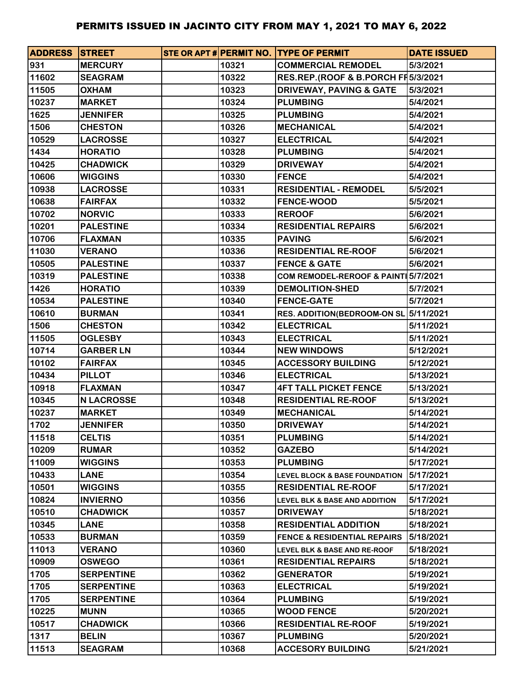| <b>ADDRESS STREET</b> |                   |       | STE OR APT # PERMIT NO. TYPE OF PERMIT   | <b>DATE ISSUED</b> |
|-----------------------|-------------------|-------|------------------------------------------|--------------------|
| 931                   | <b>MERCURY</b>    | 10321 | <b>COMMERCIAL REMODEL</b>                | 5/3/2021           |
| 11602                 | <b>SEAGRAM</b>    | 10322 | RES.REP.(ROOF & B.PORCH FF 5/3/2021      |                    |
| 11505                 | <b>OXHAM</b>      | 10323 | <b>DRIVEWAY, PAVING &amp; GATE</b>       | 5/3/2021           |
| 10237                 | <b>MARKET</b>     | 10324 | <b>PLUMBING</b>                          | 5/4/2021           |
| 1625                  | <b>JENNIFER</b>   | 10325 | <b>PLUMBING</b>                          | 5/4/2021           |
| 1506                  | <b>CHESTON</b>    | 10326 | <b>MECHANICAL</b>                        | 5/4/2021           |
| 10529                 | <b>LACROSSE</b>   | 10327 | <b>ELECTRICAL</b>                        | 5/4/2021           |
| 1434                  | <b>HORATIO</b>    | 10328 | <b>PLUMBING</b>                          | 5/4/2021           |
| 10425                 | <b>CHADWICK</b>   | 10329 | <b>DRIVEWAY</b>                          | 5/4/2021           |
| 10606                 | <b>WIGGINS</b>    | 10330 | <b>FENCE</b>                             | 5/4/2021           |
| 10938                 | <b>LACROSSE</b>   | 10331 | <b>RESIDENTIAL - REMODEL</b>             | 5/5/2021           |
| 10638                 | <b>FAIRFAX</b>    | 10332 | <b>FENCE-WOOD</b>                        | 5/5/2021           |
| 10702                 | <b>NORVIC</b>     | 10333 | <b>REROOF</b>                            | 5/6/2021           |
| 10201                 | <b>PALESTINE</b>  | 10334 | <b>RESIDENTIAL REPAIRS</b>               | 5/6/2021           |
| 10706                 | <b>FLAXMAN</b>    | 10335 | <b>PAVING</b>                            | 5/6/2021           |
| 11030                 | <b>VERANO</b>     | 10336 | <b>RESIDENTIAL RE-ROOF</b>               | 5/6/2021           |
| 10505                 | <b>PALESTINE</b>  | 10337 | <b>FENCE &amp; GATE</b>                  | 5/6/2021           |
| 10319                 | <b>PALESTINE</b>  | 10338 | COM REMODEL-REROOF & PAINT 5/7/2021      |                    |
| 1426                  | <b>HORATIO</b>    | 10339 | <b>DEMOLITION-SHED</b>                   | 5/7/2021           |
| 10534                 | <b>PALESTINE</b>  | 10340 | <b>FENCE-GATE</b>                        | 5/7/2021           |
| 10610                 | <b>BURMAN</b>     | 10341 | RES. ADDITION(BEDROOM-ON SL 5/11/2021    |                    |
| 1506                  | <b>CHESTON</b>    | 10342 | <b>ELECTRICAL</b>                        | 5/11/2021          |
| 11505                 | <b>OGLESBY</b>    | 10343 | <b>ELECTRICAL</b>                        | 5/11/2021          |
| 10714                 | <b>GARBER LN</b>  | 10344 | <b>NEW WINDOWS</b>                       | 5/12/2021          |
| 10102                 | <b>FAIRFAX</b>    | 10345 | <b>ACCESSORY BUILDING</b>                | 5/12/2021          |
| 10434                 | <b>PILLOT</b>     | 10346 | <b>ELECTRICAL</b>                        | 5/13/2021          |
| 10918                 | <b>FLAXMAN</b>    | 10347 | <b>4FT TALL PICKET FENCE</b>             | 5/13/2021          |
| 10345                 | <b>N LACROSSE</b> | 10348 | <b>RESIDENTIAL RE-ROOF</b>               | 5/13/2021          |
| 10237                 | <b>MARKET</b>     | 10349 | <b>MECHANICAL</b>                        | 5/14/2021          |
| 1702                  | <b>JENNIFER</b>   | 10350 | <b>DRIVEWAY</b>                          | 5/14/2021          |
| 11518                 | <b>CELTIS</b>     | 10351 | <b>PLUMBING</b>                          | 5/14/2021          |
| 10209                 | <b>RUMAR</b>      | 10352 | <b>GAZEBO</b>                            | 5/14/2021          |
| 11009                 | <b>WIGGINS</b>    | 10353 | <b>PLUMBING</b>                          | 5/17/2021          |
| 10433                 | <b>LANE</b>       | 10354 | <b>LEVEL BLOCK &amp; BASE FOUNDATION</b> | 5/17/2021          |
| 10501                 | <b>WIGGINS</b>    | 10355 | <b>RESIDENTIAL RE-ROOF</b>               | 5/17/2021          |
| 10824                 | <b>INVIERNO</b>   | 10356 | <b>LEVEL BLK &amp; BASE AND ADDITION</b> | 5/17/2021          |
| 10510                 | <b>CHADWICK</b>   | 10357 | <b>DRIVEWAY</b>                          | 5/18/2021          |
| 10345                 | <b>LANE</b>       | 10358 | <b>RESIDENTIAL ADDITION</b>              | 5/18/2021          |
| 10533                 | <b>BURMAN</b>     | 10359 | <b>FENCE &amp; RESIDENTIAL REPAIRS</b>   | 5/18/2021          |
| 11013                 | <b>VERANO</b>     | 10360 | LEVEL BLK & BASE AND RE-ROOF             | 5/18/2021          |
| 10909                 | <b>OSWEGO</b>     | 10361 | <b>RESIDENTIAL REPAIRS</b>               | 5/18/2021          |
| 1705                  | <b>SERPENTINE</b> | 10362 | <b>GENERATOR</b>                         | 5/19/2021          |
| 1705                  | <b>SERPENTINE</b> | 10363 | <b>ELECTRICAL</b>                        | 5/19/2021          |
| 1705                  | <b>SERPENTINE</b> | 10364 | <b>PLUMBING</b>                          | 5/19/2021          |
| 10225                 | <b>MUNN</b>       | 10365 | <b>WOOD FENCE</b>                        | 5/20/2021          |
| 10517                 | <b>CHADWICK</b>   | 10366 | <b>RESIDENTIAL RE-ROOF</b>               | 5/19/2021          |
| 1317                  | <b>BELIN</b>      | 10367 | <b>PLUMBING</b>                          | 5/20/2021          |
| 11513                 | <b>SEAGRAM</b>    | 10368 | <b>ACCESORY BUILDING</b>                 | 5/21/2021          |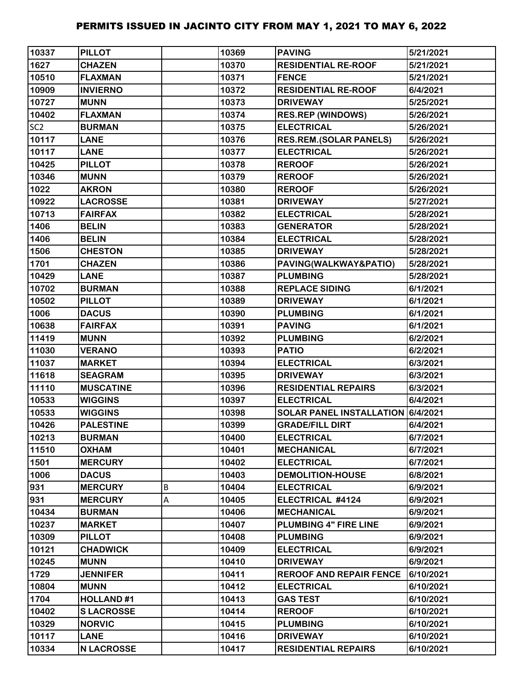| 10337           | <b>PILLOT</b>     |   | 10369 | <b>PAVING</b>                     | 5/21/2021 |
|-----------------|-------------------|---|-------|-----------------------------------|-----------|
| 1627            | <b>CHAZEN</b>     |   | 10370 | <b>RESIDENTIAL RE-ROOF</b>        | 5/21/2021 |
| 10510           | <b>FLAXMAN</b>    |   | 10371 | <b>FENCE</b>                      | 5/21/2021 |
| 10909           | <b>INVIERNO</b>   |   | 10372 | <b>RESIDENTIAL RE-ROOF</b>        | 6/4/2021  |
| 10727           | <b>MUNN</b>       |   | 10373 | <b>DRIVEWAY</b>                   | 5/25/2021 |
| 10402           | <b>FLAXMAN</b>    |   | 10374 | <b>RES.REP (WINDOWS)</b>          | 5/26/2021 |
| SC <sub>2</sub> | <b>BURMAN</b>     |   | 10375 | <b>ELECTRICAL</b>                 | 5/26/2021 |
| 10117           | <b>LANE</b>       |   | 10376 | <b>RES.REM.(SOLAR PANELS)</b>     | 5/26/2021 |
| 10117           | <b>LANE</b>       |   | 10377 | <b>ELECTRICAL</b>                 | 5/26/2021 |
| 10425           | <b>PILLOT</b>     |   | 10378 | <b>REROOF</b>                     | 5/26/2021 |
| 10346           | <b>MUNN</b>       |   | 10379 | <b>REROOF</b>                     | 5/26/2021 |
| 1022            | <b>AKRON</b>      |   | 10380 | <b>REROOF</b>                     | 5/26/2021 |
| 10922           | <b>LACROSSE</b>   |   | 10381 | <b>DRIVEWAY</b>                   | 5/27/2021 |
| 10713           | <b>FAIRFAX</b>    |   | 10382 | <b>ELECTRICAL</b>                 | 5/28/2021 |
| 1406            | <b>BELIN</b>      |   | 10383 | <b>GENERATOR</b>                  | 5/28/2021 |
| 1406            | <b>BELIN</b>      |   | 10384 | <b>ELECTRICAL</b>                 | 5/28/2021 |
| 1506            | <b>CHESTON</b>    |   | 10385 | <b>DRIVEWAY</b>                   | 5/28/2021 |
| 1701            | <b>CHAZEN</b>     |   | 10386 | PAVING(WALKWAY&PATIO)             | 5/28/2021 |
| 10429           | <b>LANE</b>       |   | 10387 | <b>PLUMBING</b>                   | 5/28/2021 |
| 10702           | <b>BURMAN</b>     |   | 10388 | <b>REPLACE SIDING</b>             | 6/1/2021  |
| 10502           | <b>PILLOT</b>     |   | 10389 | <b>DRIVEWAY</b>                   | 6/1/2021  |
| 1006            | <b>DACUS</b>      |   | 10390 | <b>PLUMBING</b>                   | 6/1/2021  |
| 10638           | <b>FAIRFAX</b>    |   | 10391 | <b>PAVING</b>                     | 6/1/2021  |
| 11419           | <b>MUNN</b>       |   | 10392 | <b>PLUMBING</b>                   | 6/2/2021  |
| 11030           | <b>VERANO</b>     |   | 10393 | <b>PATIO</b>                      | 6/2/2021  |
| 11037           | <b>MARKET</b>     |   | 10394 | <b>ELECTRICAL</b>                 | 6/3/2021  |
| 11618           | <b>SEAGRAM</b>    |   | 10395 | <b>DRIVEWAY</b>                   | 6/3/2021  |
| 11110           | <b>MUSCATINE</b>  |   | 10396 | <b>RESIDENTIAL REPAIRS</b>        | 6/3/2021  |
| 10533           | <b>WIGGINS</b>    |   | 10397 | <b>ELECTRICAL</b>                 | 6/4/2021  |
| 10533           | <b>WIGGINS</b>    |   | 10398 | SOLAR PANEL INSTALLATION 6/4/2021 |           |
| 10426           | <b>PALESTINE</b>  |   | 10399 | <b>GRADE/FILL DIRT</b>            | 6/4/2021  |
| 10213           | <b>BURMAN</b>     |   | 10400 | <b>ELECTRICAL</b>                 | 6/7/2021  |
| 11510           | <b>OXHAM</b>      |   | 10401 | <b>MECHANICAL</b>                 | 6/7/2021  |
| 1501            | <b>MERCURY</b>    |   | 10402 | <b>ELECTRICAL</b>                 | 6/7/2021  |
| 1006            | <b>DACUS</b>      |   | 10403 | <b>DEMOLITION-HOUSE</b>           | 6/8/2021  |
| 931             | <b>MERCURY</b>    | В | 10404 | <b>ELECTRICAL</b>                 | 6/9/2021  |
| 931             | <b>MERCURY</b>    | Α | 10405 | ELECTRICAL #4124                  | 6/9/2021  |
| 10434           | <b>BURMAN</b>     |   | 10406 | <b>MECHANICAL</b>                 | 6/9/2021  |
| 10237           | <b>MARKET</b>     |   | 10407 | <b>PLUMBING 4" FIRE LINE</b>      | 6/9/2021  |
| 10309           | <b>PILLOT</b>     |   | 10408 | <b>PLUMBING</b>                   | 6/9/2021  |
| 10121           | <b>CHADWICK</b>   |   | 10409 | <b>ELECTRICAL</b>                 | 6/9/2021  |
| 10245           | <b>MUNN</b>       |   | 10410 | <b>DRIVEWAY</b>                   | 6/9/2021  |
| 1729            | <b>JENNIFER</b>   |   | 10411 | <b>REROOF AND REPAIR FENCE</b>    | 6/10/2021 |
| 10804           | <b>MUNN</b>       |   | 10412 | <b>ELECTRICAL</b>                 | 6/10/2021 |
| 1704            | <b>HOLLAND#1</b>  |   | 10413 | <b>GAS TEST</b>                   | 6/10/2021 |
| 10402           | <b>SLACROSSE</b>  |   | 10414 | <b>REROOF</b>                     | 6/10/2021 |
| 10329           | <b>NORVIC</b>     |   | 10415 | <b>PLUMBING</b>                   | 6/10/2021 |
| 10117           | <b>LANE</b>       |   | 10416 | <b>DRIVEWAY</b>                   | 6/10/2021 |
| 10334           | <b>N LACROSSE</b> |   | 10417 | <b>RESIDENTIAL REPAIRS</b>        | 6/10/2021 |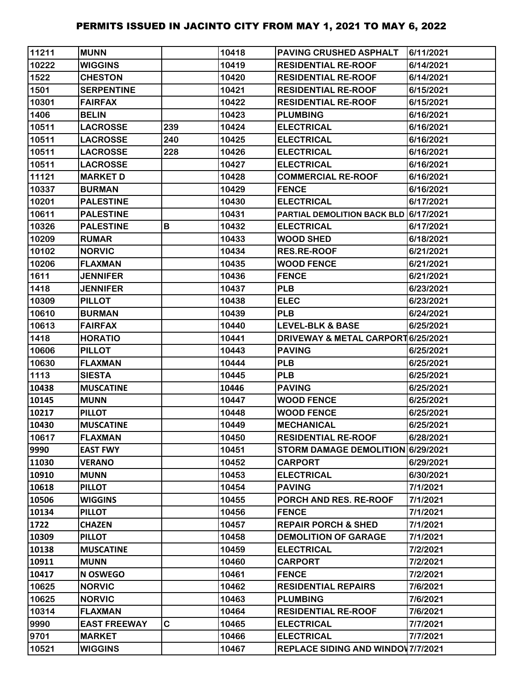| 11211 | <b>MUNN</b>         |     | 10418 | <b>PAVING CRUSHED ASPHALT</b>         | 6/11/2021 |
|-------|---------------------|-----|-------|---------------------------------------|-----------|
| 10222 | <b>WIGGINS</b>      |     | 10419 | <b>RESIDENTIAL RE-ROOF</b>            | 6/14/2021 |
| 1522  | <b>CHESTON</b>      |     | 10420 | <b>RESIDENTIAL RE-ROOF</b>            | 6/14/2021 |
| 1501  | <b>SERPENTINE</b>   |     | 10421 | <b>RESIDENTIAL RE-ROOF</b>            | 6/15/2021 |
| 10301 | <b>FAIRFAX</b>      |     | 10422 | <b>RESIDENTIAL RE-ROOF</b>            | 6/15/2021 |
| 1406  | <b>BELIN</b>        |     | 10423 | <b>PLUMBING</b>                       | 6/16/2021 |
| 10511 | <b>LACROSSE</b>     | 239 | 10424 | <b>ELECTRICAL</b>                     | 6/16/2021 |
| 10511 | <b>LACROSSE</b>     | 240 | 10425 | <b>ELECTRICAL</b>                     | 6/16/2021 |
| 10511 | <b>LACROSSE</b>     | 228 | 10426 | <b>ELECTRICAL</b>                     | 6/16/2021 |
| 10511 | <b>LACROSSE</b>     |     | 10427 | <b>ELECTRICAL</b>                     | 6/16/2021 |
| 11121 | <b>MARKET D</b>     |     | 10428 | <b>COMMERCIAL RE-ROOF</b>             | 6/16/2021 |
| 10337 | <b>BURMAN</b>       |     | 10429 | <b>FENCE</b>                          | 6/16/2021 |
| 10201 | <b>PALESTINE</b>    |     | 10430 | <b>ELECTRICAL</b>                     | 6/17/2021 |
| 10611 | <b>PALESTINE</b>    |     | 10431 | PARTIAL DEMOLITION BACK BLD 6/17/2021 |           |
| 10326 | <b>PALESTINE</b>    | B   | 10432 | <b>ELECTRICAL</b>                     | 6/17/2021 |
| 10209 | <b>RUMAR</b>        |     | 10433 | <b>WOOD SHED</b>                      | 6/18/2021 |
| 10102 | <b>NORVIC</b>       |     | 10434 | <b>RES.RE-ROOF</b>                    | 6/21/2021 |
| 10206 | <b>FLAXMAN</b>      |     | 10435 | <b>WOOD FENCE</b>                     | 6/21/2021 |
| 1611  | <b>JENNIFER</b>     |     | 10436 | <b>FENCE</b>                          | 6/21/2021 |
| 1418  | <b>JENNIFER</b>     |     | 10437 | <b>PLB</b>                            | 6/23/2021 |
| 10309 | <b>PILLOT</b>       |     | 10438 | <b>ELEC</b>                           | 6/23/2021 |
| 10610 | <b>BURMAN</b>       |     | 10439 | <b>PLB</b>                            | 6/24/2021 |
| 10613 | <b>FAIRFAX</b>      |     | 10440 | <b>LEVEL-BLK &amp; BASE</b>           | 6/25/2021 |
| 1418  | <b>HORATIO</b>      |     | 10441 | DRIVEWAY & METAL CARPORT 6/25/2021    |           |
| 10606 | <b>PILLOT</b>       |     | 10443 | <b>PAVING</b>                         | 6/25/2021 |
| 10630 | <b>FLAXMAN</b>      |     | 10444 | <b>PLB</b>                            | 6/25/2021 |
| 1113  | <b>SIESTA</b>       |     | 10445 | <b>PLB</b>                            | 6/25/2021 |
| 10438 | <b>MUSCATINE</b>    |     | 10446 | <b>PAVING</b>                         | 6/25/2021 |
| 10145 | <b>MUNN</b>         |     | 10447 | <b>WOOD FENCE</b>                     | 6/25/2021 |
| 10217 | <b>PILLOT</b>       |     | 10448 | <b>WOOD FENCE</b>                     | 6/25/2021 |
| 10430 | <b>MUSCATINE</b>    |     | 10449 | <b>MECHANICAL</b>                     | 6/25/2021 |
| 10617 | <b>FLAXMAN</b>      |     | 10450 | <b>RESIDENTIAL RE-ROOF</b>            | 6/28/2021 |
| 9990  | <b>EAST FWY</b>     |     | 10451 | STORM DAMAGE DEMOLITION 6/29/2021     |           |
| 11030 | <b>VERANO</b>       |     | 10452 | <b>CARPORT</b>                        | 6/29/2021 |
| 10910 | <b>MUNN</b>         |     | 10453 | <b>ELECTRICAL</b>                     | 6/30/2021 |
| 10618 | <b>PILLOT</b>       |     | 10454 | <b>PAVING</b>                         | 7/1/2021  |
| 10506 | <b>WIGGINS</b>      |     | 10455 | PORCH AND RES. RE-ROOF                | 7/1/2021  |
| 10134 | <b>PILLOT</b>       |     | 10456 | <b>FENCE</b>                          | 7/1/2021  |
| 1722  | <b>CHAZEN</b>       |     | 10457 | <b>REPAIR PORCH &amp; SHED</b>        | 7/1/2021  |
| 10309 | <b>PILLOT</b>       |     | 10458 | <b>DEMOLITION OF GARAGE</b>           | 7/1/2021  |
| 10138 | <b>MUSCATINE</b>    |     | 10459 | <b>ELECTRICAL</b>                     | 7/2/2021  |
| 10911 | <b>MUNN</b>         |     | 10460 | <b>CARPORT</b>                        | 7/2/2021  |
| 10417 | <b>N OSWEGO</b>     |     | 10461 | <b>FENCE</b>                          | 7/2/2021  |
| 10625 | <b>NORVIC</b>       |     | 10462 | <b>RESIDENTIAL REPAIRS</b>            | 7/6/2021  |
| 10625 | <b>NORVIC</b>       |     | 10463 | <b>PLUMBING</b>                       | 7/6/2021  |
| 10314 | <b>FLAXMAN</b>      |     | 10464 | <b>RESIDENTIAL RE-ROOF</b>            | 7/6/2021  |
| 9990  | <b>EAST FREEWAY</b> | C   | 10465 | <b>ELECTRICAL</b>                     | 7/7/2021  |
| 9701  | <b>MARKET</b>       |     | 10466 | <b>ELECTRICAL</b>                     | 7/7/2021  |
| 10521 | <b>WIGGINS</b>      |     | 10467 | REPLACE SIDING AND WINDOW 7/7/2021    |           |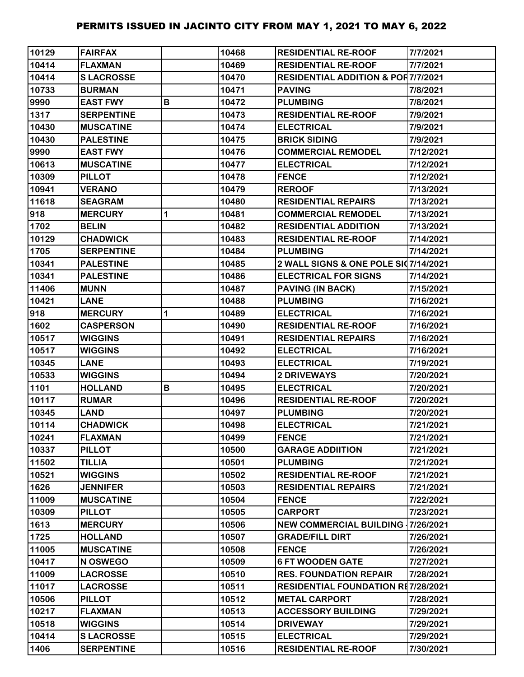| 10129 | <b>FAIRFAX</b>    |             | 10468 | <b>RESIDENTIAL RE-ROOF</b>                    | 7/7/2021  |
|-------|-------------------|-------------|-------|-----------------------------------------------|-----------|
| 10414 | <b>FLAXMAN</b>    |             | 10469 | <b>RESIDENTIAL RE-ROOF</b>                    | 7/7/2021  |
| 10414 | <b>SLACROSSE</b>  |             | 10470 | <b>RESIDENTIAL ADDITION &amp; POR7/7/2021</b> |           |
| 10733 | <b>BURMAN</b>     |             | 10471 | <b>PAVING</b>                                 | 7/8/2021  |
| 9990  | <b>EAST FWY</b>   | B           | 10472 | <b>PLUMBING</b>                               | 7/8/2021  |
| 1317  | <b>SERPENTINE</b> |             | 10473 | <b>RESIDENTIAL RE-ROOF</b>                    | 7/9/2021  |
| 10430 | <b>MUSCATINE</b>  |             | 10474 | <b>ELECTRICAL</b>                             | 7/9/2021  |
| 10430 | <b>PALESTINE</b>  |             | 10475 | <b>BRICK SIDING</b>                           | 7/9/2021  |
| 9990  | <b>EAST FWY</b>   |             | 10476 | <b>COMMERCIAL REMODEL</b>                     | 7/12/2021 |
| 10613 | <b>MUSCATINE</b>  |             | 10477 | <b>ELECTRICAL</b>                             | 7/12/2021 |
| 10309 | <b>PILLOT</b>     |             | 10478 | <b>FENCE</b>                                  | 7/12/2021 |
| 10941 | <b>VERANO</b>     |             | 10479 | <b>REROOF</b>                                 | 7/13/2021 |
| 11618 | <b>SEAGRAM</b>    |             | 10480 | <b>RESIDENTIAL REPAIRS</b>                    | 7/13/2021 |
| 918   | <b>MERCURY</b>    | 1           | 10481 | <b>COMMERCIAL REMODEL</b>                     | 7/13/2021 |
| 1702  | <b>BELIN</b>      |             | 10482 | <b>RESIDENTIAL ADDITION</b>                   | 7/13/2021 |
| 10129 | <b>CHADWICK</b>   |             | 10483 | <b>RESIDENTIAL RE-ROOF</b>                    | 7/14/2021 |
| 1705  | <b>SERPENTINE</b> |             | 10484 | <b>PLUMBING</b>                               | 7/14/2021 |
| 10341 | <b>PALESTINE</b>  |             | 10485 | 2 WALL SIGNS & ONE POLE SI07/14/2021          |           |
| 10341 | <b>PALESTINE</b>  |             | 10486 | <b>ELECTRICAL FOR SIGNS</b>                   | 7/14/2021 |
| 11406 | <b>MUNN</b>       |             | 10487 | <b>PAVING (IN BACK)</b>                       | 7/15/2021 |
| 10421 | <b>LANE</b>       |             | 10488 | <b>PLUMBING</b>                               | 7/16/2021 |
| 918   | <b>MERCURY</b>    | $\mathbf 1$ | 10489 | <b>ELECTRICAL</b>                             | 7/16/2021 |
| 1602  | <b>CASPERSON</b>  |             | 10490 | <b>RESIDENTIAL RE-ROOF</b>                    | 7/16/2021 |
| 10517 | <b>WIGGINS</b>    |             | 10491 | <b>RESIDENTIAL REPAIRS</b>                    | 7/16/2021 |
| 10517 | <b>WIGGINS</b>    |             | 10492 | <b>ELECTRICAL</b>                             | 7/16/2021 |
| 10345 | <b>LANE</b>       |             | 10493 | <b>ELECTRICAL</b>                             | 7/19/2021 |
| 10533 | <b>WIGGINS</b>    |             | 10494 | <b>2 DRIVEWAYS</b>                            | 7/20/2021 |
| 1101  | <b>HOLLAND</b>    | В           | 10495 | <b>ELECTRICAL</b>                             | 7/20/2021 |
| 10117 | <b>RUMAR</b>      |             | 10496 | <b>RESIDENTIAL RE-ROOF</b>                    | 7/20/2021 |
| 10345 | <b>LAND</b>       |             | 10497 | <b>PLUMBING</b>                               | 7/20/2021 |
| 10114 | <b>CHADWICK</b>   |             | 10498 | <b>ELECTRICAL</b>                             | 7/21/2021 |
| 10241 | <b>FLAXMAN</b>    |             | 10499 | <b>FENCE</b>                                  | 7/21/2021 |
| 10337 | <b>PILLOT</b>     |             | 10500 | <b>GARAGE ADDIITION</b>                       | 7/21/2021 |
| 11502 | <b>TILLIA</b>     |             | 10501 | <b>PLUMBING</b>                               | 7/21/2021 |
| 10521 | <b>WIGGINS</b>    |             | 10502 | <b>RESIDENTIAL RE-ROOF</b>                    | 7/21/2021 |
| 1626  | <b>JENNIFER</b>   |             | 10503 | <b>RESIDENTIAL REPAIRS</b>                    | 7/21/2021 |
| 11009 | <b>MUSCATINE</b>  |             | 10504 | <b>FENCE</b>                                  | 7/22/2021 |
| 10309 | <b>PILLOT</b>     |             | 10505 | <b>CARPORT</b>                                | 7/23/2021 |
| 1613  | <b>MERCURY</b>    |             | 10506 | <b>NEW COMMERCIAL BUILDING 17/26/2021</b>     |           |
| 1725  | <b>HOLLAND</b>    |             | 10507 | <b>GRADE/FILL DIRT</b>                        | 7/26/2021 |
| 11005 | <b>MUSCATINE</b>  |             | 10508 | <b>FENCE</b>                                  | 7/26/2021 |
| 10417 | N OSWEGO          |             | 10509 | <b>6 FT WOODEN GATE</b>                       | 7/27/2021 |
| 11009 | <b>LACROSSE</b>   |             | 10510 | <b>RES. FOUNDATION REPAIR</b>                 | 7/28/2021 |
| 11017 | <b>LACROSSE</b>   |             | 10511 | <b>RESIDENTIAL FOUNDATION RE7/28/2021</b>     |           |
| 10506 | <b>PILLOT</b>     |             | 10512 | <b>METAL CARPORT</b>                          | 7/28/2021 |
| 10217 | <b>FLAXMAN</b>    |             | 10513 | <b>ACCESSORY BUILDING</b>                     | 7/29/2021 |
| 10518 | <b>WIGGINS</b>    |             | 10514 | <b>DRIVEWAY</b>                               | 7/29/2021 |
| 10414 | <b>SLACROSSE</b>  |             | 10515 | <b>ELECTRICAL</b>                             | 7/29/2021 |
| 1406  | <b>SERPENTINE</b> |             | 10516 | <b>RESIDENTIAL RE-ROOF</b>                    | 7/30/2021 |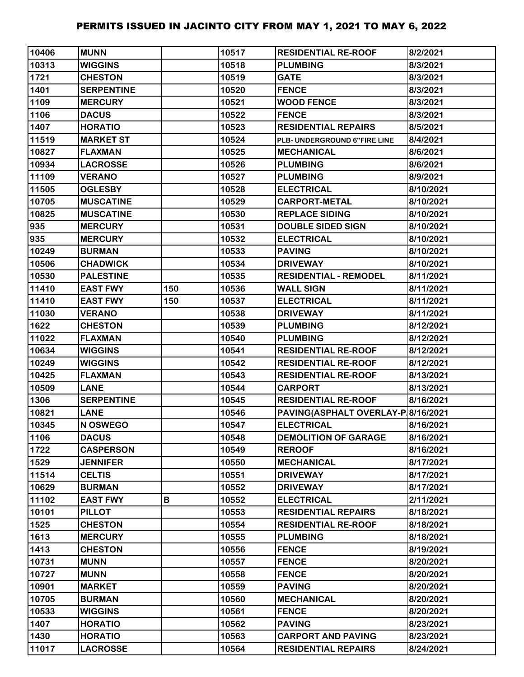| 10406 | <b>MUNN</b>       |     | 10517 | <b>RESIDENTIAL RE-ROOF</b>         | 8/2/2021  |
|-------|-------------------|-----|-------|------------------------------------|-----------|
| 10313 | <b>WIGGINS</b>    |     | 10518 | <b>PLUMBING</b>                    | 8/3/2021  |
| 1721  | <b>CHESTON</b>    |     | 10519 | <b>GATE</b>                        | 8/3/2021  |
| 1401  | <b>SERPENTINE</b> |     | 10520 | <b>FENCE</b>                       | 8/3/2021  |
| 1109  | <b>MERCURY</b>    |     | 10521 | <b>WOOD FENCE</b>                  | 8/3/2021  |
| 1106  | <b>DACUS</b>      |     | 10522 | <b>FENCE</b>                       | 8/3/2021  |
| 1407  | <b>HORATIO</b>    |     | 10523 | <b>RESIDENTIAL REPAIRS</b>         | 8/5/2021  |
| 11519 | <b>MARKET ST</b>  |     | 10524 | PLB- UNDERGROUND 6"FIRE LINE       | 8/4/2021  |
| 10827 | <b>FLAXMAN</b>    |     | 10525 | <b>MECHANICAL</b>                  | 8/6/2021  |
| 10934 | <b>LACROSSE</b>   |     | 10526 | <b>PLUMBING</b>                    | 8/6/2021  |
| 11109 | <b>VERANO</b>     |     | 10527 | <b>PLUMBING</b>                    | 8/9/2021  |
| 11505 | <b>OGLESBY</b>    |     | 10528 | <b>ELECTRICAL</b>                  | 8/10/2021 |
| 10705 | <b>MUSCATINE</b>  |     | 10529 | <b>CARPORT-METAL</b>               | 8/10/2021 |
| 10825 | <b>MUSCATINE</b>  |     | 10530 | <b>REPLACE SIDING</b>              | 8/10/2021 |
| 935   | <b>MERCURY</b>    |     | 10531 | <b>DOUBLE SIDED SIGN</b>           | 8/10/2021 |
| 935   | <b>MERCURY</b>    |     | 10532 | <b>ELECTRICAL</b>                  | 8/10/2021 |
| 10249 | <b>BURMAN</b>     |     | 10533 | <b>PAVING</b>                      | 8/10/2021 |
| 10506 | <b>CHADWICK</b>   |     | 10534 | <b>DRIVEWAY</b>                    | 8/10/2021 |
| 10530 | <b>PALESTINE</b>  |     | 10535 | <b>RESIDENTIAL - REMODEL</b>       | 8/11/2021 |
| 11410 | <b>EAST FWY</b>   | 150 | 10536 | <b>WALL SIGN</b>                   | 8/11/2021 |
| 11410 | <b>EAST FWY</b>   | 150 | 10537 | <b>ELECTRICAL</b>                  | 8/11/2021 |
| 11030 | <b>VERANO</b>     |     | 10538 | <b>DRIVEWAY</b>                    | 8/11/2021 |
| 1622  | <b>CHESTON</b>    |     | 10539 | <b>PLUMBING</b>                    | 8/12/2021 |
| 11022 | <b>FLAXMAN</b>    |     | 10540 | <b>PLUMBING</b>                    | 8/12/2021 |
| 10634 | <b>WIGGINS</b>    |     | 10541 | <b>RESIDENTIAL RE-ROOF</b>         | 8/12/2021 |
| 10249 | <b>WIGGINS</b>    |     | 10542 | <b>RESIDENTIAL RE-ROOF</b>         | 8/12/2021 |
| 10425 | <b>FLAXMAN</b>    |     | 10543 | <b>RESIDENTIAL RE-ROOF</b>         | 8/13/2021 |
| 10509 | <b>LANE</b>       |     | 10544 | <b>CARPORT</b>                     | 8/13/2021 |
| 1306  | <b>SERPENTINE</b> |     | 10545 | <b>RESIDENTIAL RE-ROOF</b>         | 8/16/2021 |
| 10821 | <b>LANE</b>       |     | 10546 | PAVING(ASPHALT OVERLAY-P 8/16/2021 |           |
| 10345 | N OSWEGO          |     | 10547 | <b>ELECTRICAL</b>                  | 8/16/2021 |
| 1106  | <b>DACUS</b>      |     | 10548 | <b>DEMOLITION OF GARAGE</b>        | 8/16/2021 |
| 1722  | <b>CASPERSON</b>  |     | 10549 | <b>REROOF</b>                      | 8/16/2021 |
| 1529  | <b>JENNIFER</b>   |     | 10550 | <b>MECHANICAL</b>                  | 8/17/2021 |
| 11514 | <b>CELTIS</b>     |     | 10551 | <b>DRIVEWAY</b>                    | 8/17/2021 |
| 10629 | <b>BURMAN</b>     |     | 10552 | <b>DRIVEWAY</b>                    | 8/17/2021 |
| 11102 | <b>EAST FWY</b>   | В   | 10552 | <b>ELECTRICAL</b>                  | 2/11/2021 |
| 10101 | <b>PILLOT</b>     |     | 10553 | <b>RESIDENTIAL REPAIRS</b>         | 8/18/2021 |
| 1525  | <b>CHESTON</b>    |     | 10554 | <b>RESIDENTIAL RE-ROOF</b>         | 8/18/2021 |
| 1613  | <b>MERCURY</b>    |     | 10555 | <b>PLUMBING</b>                    | 8/18/2021 |
| 1413  | <b>CHESTON</b>    |     | 10556 | <b>FENCE</b>                       | 8/19/2021 |
| 10731 | <b>MUNN</b>       |     | 10557 | <b>FENCE</b>                       | 8/20/2021 |
| 10727 | <b>MUNN</b>       |     | 10558 | <b>FENCE</b>                       | 8/20/2021 |
| 10901 | <b>MARKET</b>     |     | 10559 | <b>PAVING</b>                      | 8/20/2021 |
| 10705 | <b>BURMAN</b>     |     | 10560 | <b>MECHANICAL</b>                  | 8/20/2021 |
| 10533 | <b>WIGGINS</b>    |     | 10561 | <b>FENCE</b>                       | 8/20/2021 |
| 1407  | <b>HORATIO</b>    |     | 10562 | <b>PAVING</b>                      | 8/23/2021 |
| 1430  | <b>HORATIO</b>    |     | 10563 | <b>CARPORT AND PAVING</b>          | 8/23/2021 |
| 11017 | <b>LACROSSE</b>   |     | 10564 | <b>RESIDENTIAL REPAIRS</b>         | 8/24/2021 |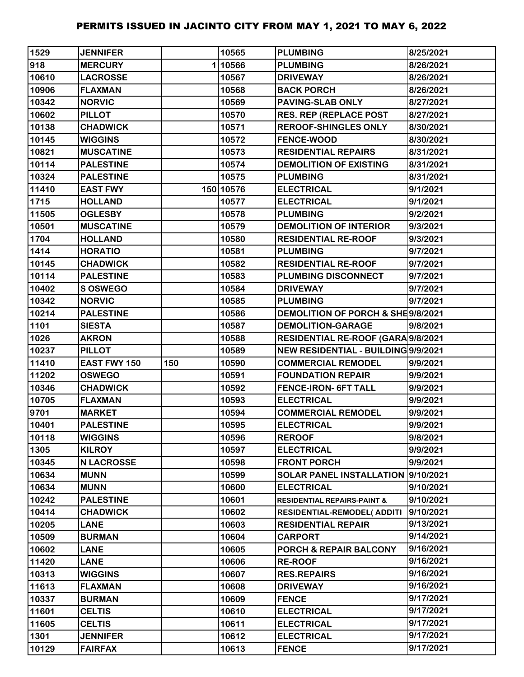| 1529  | <b>JENNIFER</b>     |     | 10565     | <b>PLUMBING</b>                        | 8/25/2021 |
|-------|---------------------|-----|-----------|----------------------------------------|-----------|
| 918   | <b>MERCURY</b>      |     | 110566    | <b>PLUMBING</b>                        | 8/26/2021 |
| 10610 | <b>LACROSSE</b>     |     | 10567     | <b>DRIVEWAY</b>                        | 8/26/2021 |
| 10906 | <b>FLAXMAN</b>      |     | 10568     | <b>BACK PORCH</b>                      | 8/26/2021 |
| 10342 | <b>NORVIC</b>       |     | 10569     | <b>PAVING-SLAB ONLY</b>                | 8/27/2021 |
| 10602 | <b>PILLOT</b>       |     | 10570     | <b>RES. REP (REPLACE POST</b>          | 8/27/2021 |
| 10138 | <b>CHADWICK</b>     |     | 10571     | <b>REROOF-SHINGLES ONLY</b>            | 8/30/2021 |
| 10145 | <b>WIGGINS</b>      |     | 10572     | <b>FENCE-WOOD</b>                      | 8/30/2021 |
| 10821 | <b>MUSCATINE</b>    |     | 10573     | <b>RESIDENTIAL REPAIRS</b>             | 8/31/2021 |
| 10114 | <b>PALESTINE</b>    |     | 10574     | <b>DEMOLITION OF EXISTING</b>          | 8/31/2021 |
| 10324 | <b>PALESTINE</b>    |     | 10575     | <b>PLUMBING</b>                        | 8/31/2021 |
| 11410 | <b>EAST FWY</b>     |     | 150 10576 | <b>ELECTRICAL</b>                      | 9/1/2021  |
| 1715  | <b>HOLLAND</b>      |     | 10577     | <b>ELECTRICAL</b>                      | 9/1/2021  |
| 11505 | <b>OGLESBY</b>      |     | 10578     | <b>PLUMBING</b>                        | 9/2/2021  |
| 10501 | <b>MUSCATINE</b>    |     | 10579     | <b>DEMOLITION OF INTERIOR</b>          | 9/3/2021  |
| 1704  | <b>HOLLAND</b>      |     | 10580     | <b>RESIDENTIAL RE-ROOF</b>             | 9/3/2021  |
| 1414  | <b>HORATIO</b>      |     | 10581     | <b>PLUMBING</b>                        | 9/7/2021  |
| 10145 | <b>CHADWICK</b>     |     | 10582     | <b>RESIDENTIAL RE-ROOF</b>             | 9/7/2021  |
| 10114 | <b>PALESTINE</b>    |     | 10583     | <b>PLUMBING DISCONNECT</b>             | 9/7/2021  |
| 10402 | <b>SOSWEGO</b>      |     | 10584     | <b>DRIVEWAY</b>                        | 9/7/2021  |
| 10342 | <b>NORVIC</b>       |     | 10585     | <b>PLUMBING</b>                        | 9/7/2021  |
| 10214 | <b>PALESTINE</b>    |     | 10586     | DEMOLITION OF PORCH & SHE9/8/2021      |           |
| 1101  | <b>SIESTA</b>       |     | 10587     | <b>DEMOLITION-GARAGE</b>               | 9/8/2021  |
| 1026  | <b>AKRON</b>        |     | 10588     | RESIDENTIAL RE-ROOF (GARA 9/8/2021     |           |
| 10237 | <b>PILLOT</b>       |     | 10589     | NEW RESIDENTIAL - BUILDING 9/9/2021    |           |
| 11410 | <b>EAST FWY 150</b> | 150 | 10590     | <b>COMMERCIAL REMODEL</b>              | 9/9/2021  |
| 11202 | <b>OSWEGO</b>       |     | 10591     | <b>FOUNDATION REPAIR</b>               | 9/9/2021  |
| 10346 | <b>CHADWICK</b>     |     | 10592     | <b>FENCE-IRON- 6FT TALL</b>            | 9/9/2021  |
| 10705 | <b>FLAXMAN</b>      |     | 10593     | <b>ELECTRICAL</b>                      | 9/9/2021  |
| 9701  | <b>MARKET</b>       |     | 10594     | <b>COMMERCIAL REMODEL</b>              | 9/9/2021  |
| 10401 | <b>PALESTINE</b>    |     | 10595     | <b>ELECTRICAL</b>                      | 9/9/2021  |
| 10118 | <b>WIGGINS</b>      |     | 10596     | <b>REROOF</b>                          | 9/8/2021  |
| 1305  | <b>KILROY</b>       |     | 10597     | <b>ELECTRICAL</b>                      | 9/9/2021  |
| 10345 | <b>N LACROSSE</b>   |     | 10598     | <b>FRONT PORCH</b>                     | 9/9/2021  |
| 10634 | <b>MUNN</b>         |     | 10599     | SOLAR PANEL INSTALLATION 9/10/2021     |           |
| 10634 | <b>MUNN</b>         |     | 10600     | <b>ELECTRICAL</b>                      | 9/10/2021 |
| 10242 | <b>PALESTINE</b>    |     | 10601     | <b>RESIDENTIAL REPAIRS-PAINT &amp;</b> | 9/10/2021 |
| 10414 | <b>CHADWICK</b>     |     | 10602     | <b>RESIDENTIAL-REMODEL( ADDITI</b>     | 9/10/2021 |
| 10205 | <b>LANE</b>         |     | 10603     | <b>RESIDENTIAL REPAIR</b>              | 9/13/2021 |
| 10509 | <b>BURMAN</b>       |     | 10604     | <b>CARPORT</b>                         | 9/14/2021 |
| 10602 | <b>LANE</b>         |     | 10605     | <b>PORCH &amp; REPAIR BALCONY</b>      | 9/16/2021 |
| 11420 | <b>LANE</b>         |     | 10606     | <b>RE-ROOF</b>                         | 9/16/2021 |
| 10313 | <b>WIGGINS</b>      |     | 10607     | <b>RES.REPAIRS</b>                     | 9/16/2021 |
| 11613 | <b>FLAXMAN</b>      |     | 10608     | <b>DRIVEWAY</b>                        | 9/16/2021 |
| 10337 | <b>BURMAN</b>       |     | 10609     | <b>FENCE</b>                           | 9/17/2021 |
| 11601 | <b>CELTIS</b>       |     | 10610     | <b>ELECTRICAL</b>                      | 9/17/2021 |
| 11605 | <b>CELTIS</b>       |     | 10611     | <b>ELECTRICAL</b>                      | 9/17/2021 |
| 1301  | <b>JENNIFER</b>     |     | 10612     | <b>ELECTRICAL</b>                      | 9/17/2021 |
| 10129 | <b>FAIRFAX</b>      |     | 10613     | <b>FENCE</b>                           | 9/17/2021 |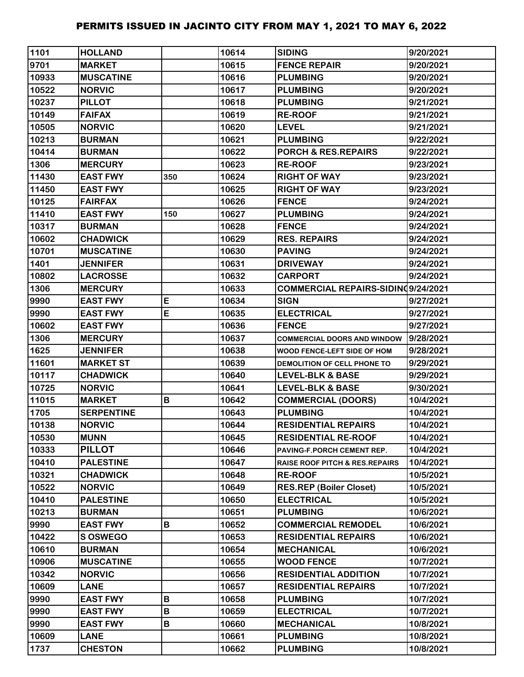| 1101  | <b>HOLLAND</b>    |          | 10614 | <b>SIDING</b>                             | 9/20/2021 |
|-------|-------------------|----------|-------|-------------------------------------------|-----------|
| 9701  | <b>MARKET</b>     |          | 10615 | <b>FENCE REPAIR</b>                       | 9/20/2021 |
| 10933 | <b>MUSCATINE</b>  |          | 10616 | <b>PLUMBING</b>                           | 9/20/2021 |
| 10522 | <b>NORVIC</b>     |          | 10617 | <b>PLUMBING</b>                           | 9/20/2021 |
| 10237 | <b>PILLOT</b>     |          | 10618 | <b>PLUMBING</b>                           | 9/21/2021 |
| 10149 | <b>FAIFAX</b>     |          | 10619 | <b>RE-ROOF</b>                            | 9/21/2021 |
| 10505 | <b>NORVIC</b>     |          | 10620 | <b>LEVEL</b>                              | 9/21/2021 |
| 10213 | <b>BURMAN</b>     |          | 10621 | <b>PLUMBING</b>                           | 9/22/2021 |
| 10414 | <b>BURMAN</b>     |          | 10622 | PORCH & RES.REPAIRS                       | 9/22/2021 |
| 1306  | <b>MERCURY</b>    |          | 10623 | <b>RE-ROOF</b>                            | 9/23/2021 |
| 11430 | <b>EAST FWY</b>   | 350      | 10624 | <b>RIGHT OF WAY</b>                       | 9/23/2021 |
| 11450 | <b>EAST FWY</b>   |          | 10625 | <b>RIGHT OF WAY</b>                       | 9/23/2021 |
| 10125 | <b>FAIRFAX</b>    |          | 10626 | <b>FENCE</b>                              | 9/24/2021 |
| 11410 | <b>EAST FWY</b>   | 150      | 10627 | <b>PLUMBING</b>                           | 9/24/2021 |
| 10317 | <b>BURMAN</b>     |          | 10628 | <b>FENCE</b>                              | 9/24/2021 |
| 10602 | <b>CHADWICK</b>   |          | 10629 | <b>RES. REPAIRS</b>                       | 9/24/2021 |
| 10701 | <b>MUSCATINE</b>  |          | 10630 | <b>PAVING</b>                             | 9/24/2021 |
| 1401  | <b>JENNIFER</b>   |          | 10631 | <b>DRIVEWAY</b>                           | 9/24/2021 |
| 10802 | <b>LACROSSE</b>   |          | 10632 | <b>CARPORT</b>                            | 9/24/2021 |
| 1306  | <b>MERCURY</b>    |          | 10633 | <b>COMMERCIAL REPAIRS-SIDING9/24/2021</b> |           |
| 9990  | <b>EAST FWY</b>   | E        | 10634 | <b>SIGN</b>                               | 9/27/2021 |
| 9990  | <b>EAST FWY</b>   | E        | 10635 | <b>ELECTRICAL</b>                         | 9/27/2021 |
| 10602 | <b>EAST FWY</b>   |          | 10636 | <b>FENCE</b>                              | 9/27/2021 |
| 1306  | <b>MERCURY</b>    |          | 10637 | <b>COMMERCIAL DOORS AND WINDOW</b>        | 9/28/2021 |
| 1625  | <b>JENNIFER</b>   |          | 10638 | WOOD FENCE-LEFT SIDE OF HOM               | 9/28/2021 |
| 11601 | <b>MARKET ST</b>  |          | 10639 | DEMOLITION OF CELL PHONE TO               | 9/29/2021 |
| 10117 | <b>CHADWICK</b>   |          | 10640 | <b>LEVEL-BLK &amp; BASE</b>               | 9/29/2021 |
| 10725 | <b>NORVIC</b>     |          | 10641 | <b>LEVEL-BLK &amp; BASE</b>               | 9/30/2021 |
| 11015 | <b>MARKET</b>     | B        | 10642 | <b>COMMERCIAL (DOORS)</b>                 | 10/4/2021 |
| 1705  | <b>SERPENTINE</b> |          | 10643 | <b>PLUMBING</b>                           | 10/4/2021 |
| 10138 | <b>NORVIC</b>     |          | 10644 | <b>RESIDENTIAL REPAIRS</b>                | 10/4/2021 |
| 10530 | <b>MUNN</b>       |          | 10645 | <b>RESIDENTIAL RE-ROOF</b>                | 10/4/2021 |
| 10333 | <b>PILLOT</b>     |          | 10646 | PAVING-F.PORCH CEMENT REP.                | 10/4/2021 |
| 10410 | <b>PALESTINE</b>  |          | 10647 | <b>RAISE ROOF PITCH &amp; RES.REPAIRS</b> | 10/4/2021 |
| 10321 | <b>CHADWICK</b>   |          | 10648 | <b>RE-ROOF</b>                            | 10/5/2021 |
| 10522 | <b>NORVIC</b>     |          | 10649 | <b>RES.REP (Boiler Closet)</b>            | 10/5/2021 |
| 10410 | <b>PALESTINE</b>  |          | 10650 | <b>ELECTRICAL</b>                         | 10/5/2021 |
| 10213 | <b>BURMAN</b>     |          | 10651 | <b>PLUMBING</b>                           | 10/6/2021 |
| 9990  | <b>EAST FWY</b>   | В        | 10652 | <b>COMMERCIAL REMODEL</b>                 | 10/6/2021 |
| 10422 | <b>S OSWEGO</b>   |          | 10653 | <b>RESIDENTIAL REPAIRS</b>                | 10/6/2021 |
| 10610 | <b>BURMAN</b>     |          | 10654 | <b>MECHANICAL</b>                         | 10/6/2021 |
| 10906 | <b>MUSCATINE</b>  |          | 10655 | <b>WOOD FENCE</b>                         | 10/7/2021 |
| 10342 | <b>NORVIC</b>     |          | 10656 | <b>RESIDENTIAL ADDITION</b>               | 10/7/2021 |
| 10609 | <b>LANE</b>       |          | 10657 | <b>RESIDENTIAL REPAIRS</b>                | 10/7/2021 |
| 9990  | <b>EAST FWY</b>   | B        | 10658 | <b>PLUMBING</b>                           | 10/7/2021 |
| 9990  | <b>EAST FWY</b>   | B        | 10659 | <b>ELECTRICAL</b>                         | 10/7/2021 |
| 9990  | <b>EAST FWY</b>   | $\sf{B}$ | 10660 | <b>MECHANICAL</b>                         | 10/8/2021 |
| 10609 | <b>LANE</b>       |          | 10661 | <b>PLUMBING</b>                           | 10/8/2021 |
| 1737  | <b>CHESTON</b>    |          | 10662 | <b>PLUMBING</b>                           | 10/8/2021 |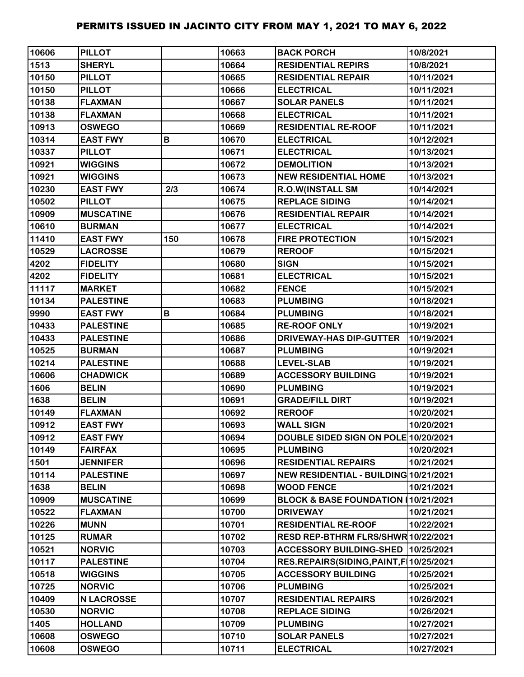| 10606 | <b>PILLOT</b>     |              | 10663 | <b>BACK PORCH</b>                         | 10/8/2021  |
|-------|-------------------|--------------|-------|-------------------------------------------|------------|
| 1513  | <b>SHERYL</b>     |              | 10664 | <b>RESIDENTIAL REPIRS</b>                 | 10/8/2021  |
| 10150 | <b>PILLOT</b>     |              | 10665 | <b>RESIDENTIAL REPAIR</b>                 | 10/11/2021 |
| 10150 | <b>PILLOT</b>     |              | 10666 | <b>ELECTRICAL</b>                         | 10/11/2021 |
| 10138 | <b>FLAXMAN</b>    |              | 10667 | <b>SOLAR PANELS</b>                       | 10/11/2021 |
| 10138 | <b>FLAXMAN</b>    |              | 10668 | <b>ELECTRICAL</b>                         | 10/11/2021 |
| 10913 | <b>OSWEGO</b>     |              | 10669 | <b>RESIDENTIAL RE-ROOF</b>                | 10/11/2021 |
| 10314 | <b>EAST FWY</b>   | B            | 10670 | <b>ELECTRICAL</b>                         | 10/12/2021 |
| 10337 | <b>PILLOT</b>     |              | 10671 | <b>ELECTRICAL</b>                         | 10/13/2021 |
| 10921 | <b>WIGGINS</b>    |              | 10672 | <b>DEMOLITION</b>                         | 10/13/2021 |
| 10921 | <b>WIGGINS</b>    |              | 10673 | <b>NEW RESIDENTIAL HOME</b>               | 10/13/2021 |
| 10230 | <b>EAST FWY</b>   | 2/3          | 10674 | R.O.W(INSTALL SM                          | 10/14/2021 |
| 10502 | <b>PILLOT</b>     |              | 10675 | <b>REPLACE SIDING</b>                     | 10/14/2021 |
| 10909 | <b>MUSCATINE</b>  |              | 10676 | <b>RESIDENTIAL REPAIR</b>                 | 10/14/2021 |
| 10610 | <b>BURMAN</b>     |              | 10677 | <b>ELECTRICAL</b>                         | 10/14/2021 |
| 11410 | <b>EAST FWY</b>   | 150          | 10678 | <b>FIRE PROTECTION</b>                    | 10/15/2021 |
| 10529 | <b>LACROSSE</b>   |              | 10679 | <b>REROOF</b>                             | 10/15/2021 |
| 4202  | <b>FIDELITY</b>   |              | 10680 | <b>SIGN</b>                               | 10/15/2021 |
| 4202  | <b>FIDELITY</b>   |              | 10681 | <b>ELECTRICAL</b>                         | 10/15/2021 |
| 11117 | <b>MARKET</b>     |              | 10682 | <b>FENCE</b>                              | 10/15/2021 |
| 10134 | <b>PALESTINE</b>  |              | 10683 | <b>PLUMBING</b>                           | 10/18/2021 |
| 9990  | <b>EAST FWY</b>   | $\, {\bf B}$ | 10684 | <b>PLUMBING</b>                           | 10/18/2021 |
| 10433 | <b>PALESTINE</b>  |              | 10685 | <b>RE-ROOF ONLY</b>                       | 10/19/2021 |
| 10433 | <b>PALESTINE</b>  |              | 10686 | <b>DRIVEWAY-HAS DIP-GUTTER</b>            | 10/19/2021 |
| 10525 | <b>BURMAN</b>     |              | 10687 | <b>PLUMBING</b>                           | 10/19/2021 |
| 10214 | <b>PALESTINE</b>  |              | 10688 | <b>LEVEL-SLAB</b>                         | 10/19/2021 |
| 10606 | <b>CHADWICK</b>   |              | 10689 | <b>ACCESSORY BUILDING</b>                 | 10/19/2021 |
| 1606  | <b>BELIN</b>      |              | 10690 | <b>PLUMBING</b>                           | 10/19/2021 |
| 1638  | <b>BELIN</b>      |              | 10691 | <b>GRADE/FILL DIRT</b>                    | 10/19/2021 |
| 10149 | <b>FLAXMAN</b>    |              | 10692 | <b>REROOF</b>                             | 10/20/2021 |
| 10912 | <b>EAST FWY</b>   |              | 10693 | <b>WALL SIGN</b>                          | 10/20/2021 |
| 10912 | <b>EAST FWY</b>   |              | 10694 | DOUBLE SIDED SIGN ON POLE 10/20/2021      |            |
| 10149 | <b>FAIRFAX</b>    |              | 10695 | <b>PLUMBING</b>                           | 10/20/2021 |
| 1501  | <b>JENNIFER</b>   |              | 10696 | <b>RESIDENTIAL REPAIRS</b>                | 10/21/2021 |
| 10114 | <b>PALESTINE</b>  |              | 10697 | NEW RESIDENTIAL - BUILDING 10/21/2021     |            |
| 1638  | <b>BELIN</b>      |              | 10698 | <b>WOOD FENCE</b>                         | 10/21/2021 |
| 10909 | <b>MUSCATINE</b>  |              | 10699 | BLOCK & BASE FOUNDATION 10/21/2021        |            |
| 10522 | <b>FLAXMAN</b>    |              | 10700 | <b>DRIVEWAY</b>                           | 10/21/2021 |
| 10226 | <b>MUNN</b>       |              | 10701 | <b>RESIDENTIAL RE-ROOF</b>                | 10/22/2021 |
| 10125 | <b>RUMAR</b>      |              | 10702 | RESD REP-BTHRM FLRS/SHWR 10/22/2021       |            |
| 10521 | <b>NORVIC</b>     |              | 10703 | <b>ACCESSORY BUILDING-SHED</b>            | 10/25/2021 |
| 10117 | <b>PALESTINE</b>  |              | 10704 | RES.REPAIRS(SIDING, PAINT, F   10/25/2021 |            |
| 10518 | <b>WIGGINS</b>    |              | 10705 | <b>ACCESSORY BUILDING</b>                 | 10/25/2021 |
| 10725 | <b>NORVIC</b>     |              | 10706 | <b>PLUMBING</b>                           | 10/25/2021 |
| 10409 | <b>N LACROSSE</b> |              | 10707 | <b>RESIDENTIAL REPAIRS</b>                | 10/26/2021 |
| 10530 | <b>NORVIC</b>     |              | 10708 | <b>REPLACE SIDING</b>                     | 10/26/2021 |
| 1405  | <b>HOLLAND</b>    |              | 10709 | <b>PLUMBING</b>                           | 10/27/2021 |
| 10608 | <b>OSWEGO</b>     |              | 10710 | <b>SOLAR PANELS</b>                       | 10/27/2021 |
| 10608 | <b>OSWEGO</b>     |              | 10711 | <b>ELECTRICAL</b>                         | 10/27/2021 |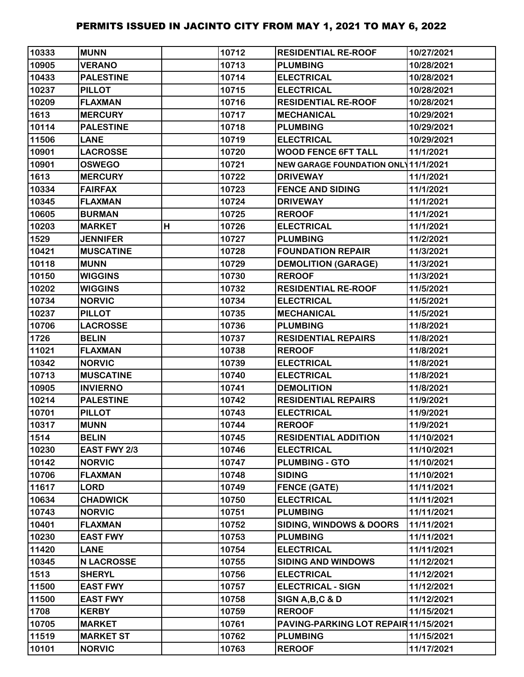| 10333 | <b>MUNN</b>       |   | 10712 | <b>RESIDENTIAL RE-ROOF</b>           | 10/27/2021 |
|-------|-------------------|---|-------|--------------------------------------|------------|
| 10905 | <b>VERANO</b>     |   | 10713 | <b>PLUMBING</b>                      | 10/28/2021 |
| 10433 | <b>PALESTINE</b>  |   | 10714 | <b>ELECTRICAL</b>                    | 10/28/2021 |
| 10237 | <b>PILLOT</b>     |   | 10715 | <b>ELECTRICAL</b>                    | 10/28/2021 |
| 10209 | <b>FLAXMAN</b>    |   | 10716 | <b>RESIDENTIAL RE-ROOF</b>           | 10/28/2021 |
| 1613  | <b>MERCURY</b>    |   | 10717 | <b>MECHANICAL</b>                    | 10/29/2021 |
| 10114 | <b>PALESTINE</b>  |   | 10718 | <b>PLUMBING</b>                      | 10/29/2021 |
| 11506 | <b>LANE</b>       |   | 10719 | <b>ELECTRICAL</b>                    | 10/29/2021 |
| 10901 | <b>LACROSSE</b>   |   | 10720 | <b>WOOD FENCE 6FT TALL</b>           | 11/1/2021  |
| 10901 | <b>OSWEGO</b>     |   | 10721 | NEW GARAGE FOUNDATION ONL 11/1/2021  |            |
| 1613  | <b>MERCURY</b>    |   | 10722 | <b>DRIVEWAY</b>                      | 11/1/2021  |
| 10334 | <b>FAIRFAX</b>    |   | 10723 | <b>FENCE AND SIDING</b>              | 11/1/2021  |
| 10345 | <b>FLAXMAN</b>    |   | 10724 | <b>DRIVEWAY</b>                      | 11/1/2021  |
| 10605 | <b>BURMAN</b>     |   | 10725 | <b>REROOF</b>                        | 11/1/2021  |
| 10203 | <b>MARKET</b>     | H | 10726 | <b>ELECTRICAL</b>                    | 11/1/2021  |
| 1529  | <b>JENNIFER</b>   |   | 10727 | <b>PLUMBING</b>                      | 11/2/2021  |
| 10421 | <b>MUSCATINE</b>  |   | 10728 | <b>FOUNDATION REPAIR</b>             | 11/3/2021  |
| 10118 | <b>MUNN</b>       |   | 10729 | <b>DEMOLITION (GARAGE)</b>           | 11/3/2021  |
| 10150 | <b>WIGGINS</b>    |   | 10730 | <b>REROOF</b>                        | 11/3/2021  |
| 10202 | <b>WIGGINS</b>    |   | 10732 | <b>RESIDENTIAL RE-ROOF</b>           | 11/5/2021  |
| 10734 | <b>NORVIC</b>     |   | 10734 | <b>ELECTRICAL</b>                    | 11/5/2021  |
| 10237 | <b>PILLOT</b>     |   | 10735 | <b>MECHANICAL</b>                    | 11/5/2021  |
| 10706 | <b>LACROSSE</b>   |   | 10736 | <b>PLUMBING</b>                      | 11/8/2021  |
| 1726  | <b>BELIN</b>      |   | 10737 | <b>RESIDENTIAL REPAIRS</b>           | 11/8/2021  |
| 11021 | <b>FLAXMAN</b>    |   | 10738 | <b>REROOF</b>                        | 11/8/2021  |
| 10342 | <b>NORVIC</b>     |   | 10739 | <b>ELECTRICAL</b>                    | 11/8/2021  |
| 10713 | <b>MUSCATINE</b>  |   | 10740 | <b>ELECTRICAL</b>                    | 11/8/2021  |
| 10905 | <b>INVIERNO</b>   |   | 10741 | <b>DEMOLITION</b>                    | 11/8/2021  |
| 10214 | <b>PALESTINE</b>  |   | 10742 | <b>RESIDENTIAL REPAIRS</b>           | 11/9/2021  |
| 10701 | <b>PILLOT</b>     |   | 10743 | <b>ELECTRICAL</b>                    | 11/9/2021  |
| 10317 | <b>MUNN</b>       |   | 10744 | <b>REROOF</b>                        | 11/9/2021  |
| 1514  | <b>BELIN</b>      |   | 10745 | <b>RESIDENTIAL ADDITION</b>          | 11/10/2021 |
| 10230 | EAST FWY 2/3      |   | 10746 | <b>ELECTRICAL</b>                    | 11/10/2021 |
| 10142 | <b>NORVIC</b>     |   | 10747 | <b>PLUMBING - GTO</b>                | 11/10/2021 |
| 10706 | <b>FLAXMAN</b>    |   | 10748 | <b>SIDING</b>                        | 11/10/2021 |
| 11617 | <b>LORD</b>       |   | 10749 | <b>FENCE (GATE)</b>                  | 11/11/2021 |
| 10634 | <b>CHADWICK</b>   |   | 10750 | <b>ELECTRICAL</b>                    | 11/11/2021 |
| 10743 | <b>NORVIC</b>     |   | 10751 | <b>PLUMBING</b>                      | 11/11/2021 |
| 10401 | <b>FLAXMAN</b>    |   | 10752 | <b>SIDING, WINDOWS &amp; DOORS</b>   | 11/11/2021 |
| 10230 | <b>EAST FWY</b>   |   | 10753 | <b>PLUMBING</b>                      | 11/11/2021 |
| 11420 | <b>LANE</b>       |   | 10754 | <b>ELECTRICAL</b>                    | 11/11/2021 |
| 10345 | <b>N LACROSSE</b> |   | 10755 | <b>SIDING AND WINDOWS</b>            | 11/12/2021 |
| 1513  | <b>SHERYL</b>     |   | 10756 | <b>ELECTRICAL</b>                    | 11/12/2021 |
| 11500 | <b>EAST FWY</b>   |   | 10757 | <b>ELECTRICAL - SIGN</b>             | 11/12/2021 |
| 11500 | <b>EAST FWY</b>   |   | 10758 | SIGN A, B, C & D                     | 11/12/2021 |
| 1708  | <b>KERBY</b>      |   | 10759 | <b>REROOF</b>                        | 11/15/2021 |
| 10705 | <b>MARKET</b>     |   | 10761 | PAVING-PARKING LOT REPAIR 11/15/2021 |            |
| 11519 | <b>MARKET ST</b>  |   | 10762 | <b>PLUMBING</b>                      | 11/15/2021 |
| 10101 | <b>NORVIC</b>     |   | 10763 | <b>REROOF</b>                        | 11/17/2021 |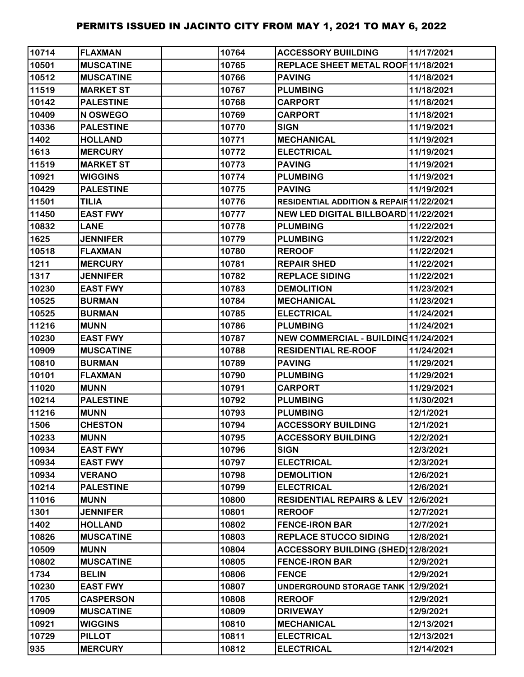| 10714 | <b>FLAXMAN</b>   | 10764 | <b>ACCESSORY BUILDING</b>                          | 11/17/2021 |
|-------|------------------|-------|----------------------------------------------------|------------|
| 10501 | <b>MUSCATINE</b> | 10765 | REPLACE SHEET METAL ROOF 11/18/2021                |            |
| 10512 | <b>MUSCATINE</b> | 10766 | <b>PAVING</b>                                      | 11/18/2021 |
| 11519 | <b>MARKET ST</b> | 10767 | <b>PLUMBING</b>                                    | 11/18/2021 |
| 10142 | <b>PALESTINE</b> | 10768 | <b>CARPORT</b>                                     | 11/18/2021 |
| 10409 | N OSWEGO         | 10769 | <b>CARPORT</b>                                     | 11/18/2021 |
| 10336 | <b>PALESTINE</b> | 10770 | <b>SIGN</b>                                        | 11/19/2021 |
| 1402  | <b>HOLLAND</b>   | 10771 | <b>MECHANICAL</b>                                  | 11/19/2021 |
| 1613  | <b>MERCURY</b>   | 10772 | <b>ELECTRICAL</b>                                  | 11/19/2021 |
| 11519 | <b>MARKET ST</b> | 10773 | <b>PAVING</b>                                      | 11/19/2021 |
| 10921 | <b>WIGGINS</b>   | 10774 | <b>PLUMBING</b>                                    | 11/19/2021 |
| 10429 | <b>PALESTINE</b> | 10775 | <b>PAVING</b>                                      | 11/19/2021 |
| 11501 | <b>TILIA</b>     | 10776 | <b>RESIDENTIAL ADDITION &amp; REPAIR11/22/2021</b> |            |
| 11450 | <b>EAST FWY</b>  | 10777 | NEW LED DIGITAL BILLBOARD 11/22/2021               |            |
| 10832 | <b>LANE</b>      | 10778 | <b>PLUMBING</b>                                    | 11/22/2021 |
| 1625  | <b>JENNIFER</b>  | 10779 | <b>PLUMBING</b>                                    | 11/22/2021 |
| 10518 | <b>FLAXMAN</b>   | 10780 | <b>REROOF</b>                                      | 11/22/2021 |
| 1211  | <b>MERCURY</b>   | 10781 | <b>REPAIR SHED</b>                                 | 11/22/2021 |
| 1317  | <b>JENNIFER</b>  | 10782 | <b>REPLACE SIDING</b>                              | 11/22/2021 |
| 10230 | <b>EAST FWY</b>  | 10783 | <b>DEMOLITION</b>                                  | 11/23/2021 |
| 10525 | <b>BURMAN</b>    | 10784 | <b>MECHANICAL</b>                                  | 11/23/2021 |
| 10525 | <b>BURMAN</b>    | 10785 | <b>ELECTRICAL</b>                                  | 11/24/2021 |
| 11216 | <b>MUNN</b>      | 10786 | <b>PLUMBING</b>                                    | 11/24/2021 |
| 10230 | <b>EAST FWY</b>  | 10787 | NEW COMMERCIAL - BUILDING11/24/2021                |            |
| 10909 | <b>MUSCATINE</b> | 10788 | <b>RESIDENTIAL RE-ROOF</b>                         | 11/24/2021 |
| 10810 | <b>BURMAN</b>    | 10789 | <b>PAVING</b>                                      | 11/29/2021 |
| 10101 | <b>FLAXMAN</b>   | 10790 | <b>PLUMBING</b>                                    | 11/29/2021 |
| 11020 | <b>MUNN</b>      | 10791 | <b>CARPORT</b>                                     | 11/29/2021 |
| 10214 | <b>PALESTINE</b> | 10792 | <b>PLUMBING</b>                                    | 11/30/2021 |
| 11216 | <b>MUNN</b>      | 10793 | <b>PLUMBING</b>                                    | 12/1/2021  |
| 1506  | <b>CHESTON</b>   | 10794 | <b>ACCESSORY BUILDING</b>                          | 12/1/2021  |
| 10233 | <b>MUNN</b>      | 10795 | <b>ACCESSORY BUILDING</b>                          | 12/2/2021  |
| 10934 | <b>EAST FWY</b>  | 10796 | <b>SIGN</b>                                        | 12/3/2021  |
| 10934 | <b>EAST FWY</b>  | 10797 | <b>ELECTRICAL</b>                                  | 12/3/2021  |
| 10934 | <b>VERANO</b>    | 10798 | <b>DEMOLITION</b>                                  | 12/6/2021  |
| 10214 | <b>PALESTINE</b> | 10799 | <b>ELECTRICAL</b>                                  | 12/6/2021  |
| 11016 | <b>MUNN</b>      | 10800 | RESIDENTIAL REPAIRS & LEV   12/6/2021              |            |
| 1301  | <b>JENNIFER</b>  | 10801 | <b>REROOF</b>                                      | 12/7/2021  |
| 1402  | <b>HOLLAND</b>   | 10802 | <b>FENCE-IRON BAR</b>                              | 12/7/2021  |
| 10826 | <b>MUSCATINE</b> | 10803 | <b>REPLACE STUCCO SIDING</b>                       | 12/8/2021  |
| 10509 | <b>MUNN</b>      | 10804 | <b>ACCESSORY BUILDING (SHED)12/8/2021</b>          |            |
| 10802 | <b>MUSCATINE</b> | 10805 | <b>FENCE-IRON BAR</b>                              | 12/9/2021  |
| 1734  | <b>BELIN</b>     | 10806 | <b>FENCE</b>                                       | 12/9/2021  |
| 10230 | <b>EAST FWY</b>  | 10807 | UNDERGROUND STORAGE TANK 12/9/2021                 |            |
| 1705  | <b>CASPERSON</b> | 10808 | <b>REROOF</b>                                      | 12/9/2021  |
| 10909 | <b>MUSCATINE</b> | 10809 | <b>DRIVEWAY</b>                                    | 12/9/2021  |
| 10921 | <b>WIGGINS</b>   | 10810 | <b>MECHANICAL</b>                                  | 12/13/2021 |
| 10729 | <b>PILLOT</b>    | 10811 | <b>ELECTRICAL</b>                                  | 12/13/2021 |
| 935   | <b>MERCURY</b>   | 10812 | <b>ELECTRICAL</b>                                  | 12/14/2021 |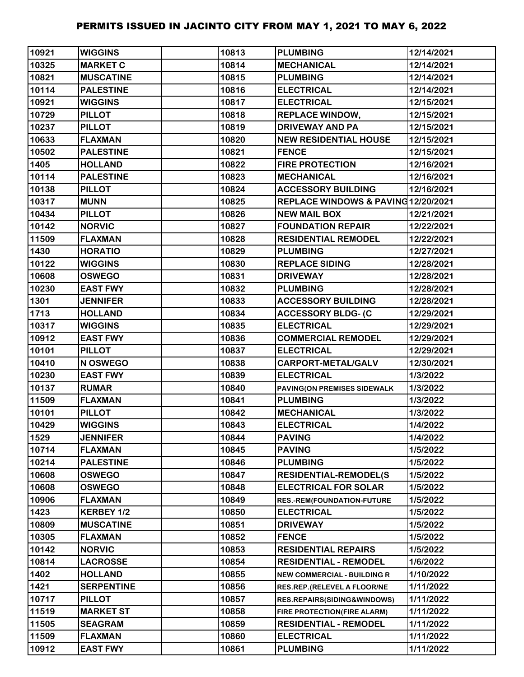| 10921 | <b>WIGGINS</b>    | 10813 | <b>PLUMBING</b>                     | 12/14/2021 |
|-------|-------------------|-------|-------------------------------------|------------|
| 10325 | <b>MARKET C</b>   | 10814 | <b>MECHANICAL</b>                   | 12/14/2021 |
| 10821 | <b>MUSCATINE</b>  | 10815 | <b>PLUMBING</b>                     | 12/14/2021 |
| 10114 | <b>PALESTINE</b>  | 10816 | <b>ELECTRICAL</b>                   | 12/14/2021 |
| 10921 | <b>WIGGINS</b>    | 10817 | <b>ELECTRICAL</b>                   | 12/15/2021 |
| 10729 | <b>PILLOT</b>     | 10818 | <b>REPLACE WINDOW,</b>              | 12/15/2021 |
| 10237 | <b>PILLOT</b>     | 10819 | <b>DRIVEWAY AND PA</b>              | 12/15/2021 |
| 10633 | <b>FLAXMAN</b>    | 10820 | <b>NEW RESIDENTIAL HOUSE</b>        | 12/15/2021 |
| 10502 | <b>PALESTINE</b>  | 10821 | <b>FENCE</b>                        | 12/15/2021 |
| 1405  | <b>HOLLAND</b>    | 10822 | <b>FIRE PROTECTION</b>              | 12/16/2021 |
| 10114 | <b>PALESTINE</b>  | 10823 | <b>MECHANICAL</b>                   | 12/16/2021 |
| 10138 | <b>PILLOT</b>     | 10824 | <b>ACCESSORY BUILDING</b>           | 12/16/2021 |
| 10317 | <b>MUNN</b>       | 10825 | REPLACE WINDOWS & PAVING 12/20/2021 |            |
| 10434 | <b>PILLOT</b>     | 10826 | <b>NEW MAIL BOX</b>                 | 12/21/2021 |
| 10142 | <b>NORVIC</b>     | 10827 | <b>FOUNDATION REPAIR</b>            | 12/22/2021 |
| 11509 | <b>FLAXMAN</b>    | 10828 | <b>RESIDENTIAL REMODEL</b>          | 12/22/2021 |
| 1430  | <b>HORATIO</b>    | 10829 | <b>PLUMBING</b>                     | 12/27/2021 |
| 10122 | <b>WIGGINS</b>    | 10830 | <b>REPLACE SIDING</b>               | 12/28/2021 |
| 10608 | <b>OSWEGO</b>     | 10831 | <b>DRIVEWAY</b>                     | 12/28/2021 |
| 10230 | <b>EAST FWY</b>   | 10832 | <b>PLUMBING</b>                     | 12/28/2021 |
| 1301  | <b>JENNIFER</b>   | 10833 | <b>ACCESSORY BUILDING</b>           | 12/28/2021 |
| 1713  | <b>HOLLAND</b>    | 10834 | <b>ACCESSORY BLDG- (C</b>           | 12/29/2021 |
| 10317 | <b>WIGGINS</b>    | 10835 | <b>ELECTRICAL</b>                   | 12/29/2021 |
| 10912 | <b>EAST FWY</b>   | 10836 | <b>COMMERCIAL REMODEL</b>           | 12/29/2021 |
| 10101 | <b>PILLOT</b>     | 10837 | <b>ELECTRICAL</b>                   | 12/29/2021 |
| 10410 | N OSWEGO          | 10838 | <b>CARPORT-METAL/GALV</b>           | 12/30/2021 |
| 10230 | <b>EAST FWY</b>   | 10839 | <b>ELECTRICAL</b>                   | 1/3/2022   |
| 10137 | <b>RUMAR</b>      | 10840 | PAVING(ON PREMISES SIDEWALK         | 1/3/2022   |
| 11509 | <b>FLAXMAN</b>    | 10841 | <b>PLUMBING</b>                     | 1/3/2022   |
| 10101 | <b>PILLOT</b>     | 10842 | <b>MECHANICAL</b>                   | 1/3/2022   |
| 10429 | <b>WIGGINS</b>    | 10843 | <b>ELECTRICAL</b>                   | 1/4/2022   |
| 1529  | <b>JENNIFER</b>   | 10844 | <b>PAVING</b>                       | 1/4/2022   |
| 10714 | <b>FLAXMAN</b>    | 10845 | <b>PAVING</b>                       | 1/5/2022   |
| 10214 | <b>PALESTINE</b>  | 10846 | <b>PLUMBING</b>                     | 1/5/2022   |
| 10608 | <b>OSWEGO</b>     | 10847 | <b>RESIDENTIAL-REMODEL(S</b>        | 1/5/2022   |
| 10608 | <b>OSWEGO</b>     | 10848 | <b>ELECTRICAL FOR SOLAR</b>         | 1/5/2022   |
| 10906 | <b>FLAXMAN</b>    | 10849 | <b>RES.-REM(FOUNDATION-FUTURE</b>   | 1/5/2022   |
| 1423  | KERBEY 1/2        | 10850 | <b>ELECTRICAL</b>                   | 1/5/2022   |
| 10809 | <b>MUSCATINE</b>  | 10851 | <b>DRIVEWAY</b>                     | 1/5/2022   |
| 10305 | <b>FLAXMAN</b>    | 10852 | <b>FENCE</b>                        | 1/5/2022   |
| 10142 | <b>NORVIC</b>     | 10853 | <b>RESIDENTIAL REPAIRS</b>          | 1/5/2022   |
| 10814 | <b>LACROSSE</b>   | 10854 | <b>RESIDENTIAL - REMODEL</b>        | 1/6/2022   |
| 1402  | <b>HOLLAND</b>    | 10855 | <b>NEW COMMERCIAL - BUILDING R</b>  | 1/10/2022  |
| 1421  | <b>SERPENTINE</b> | 10856 | RES.REP.(RELEVEL A FLOOR/NE         | 1/11/2022  |
| 10717 | <b>PILLOT</b>     | 10857 | RES.REPAIRS(SIDING&WINDOWS)         | 1/11/2022  |
| 11519 | <b>MARKET ST</b>  | 10858 | FIRE PROTECTION(FIRE ALARM)         | 1/11/2022  |
| 11505 | <b>SEAGRAM</b>    | 10859 | <b>RESIDENTIAL - REMODEL</b>        | 1/11/2022  |
| 11509 | <b>FLAXMAN</b>    | 10860 | <b>ELECTRICAL</b>                   | 1/11/2022  |
| 10912 | <b>EAST FWY</b>   | 10861 | <b>PLUMBING</b>                     | 1/11/2022  |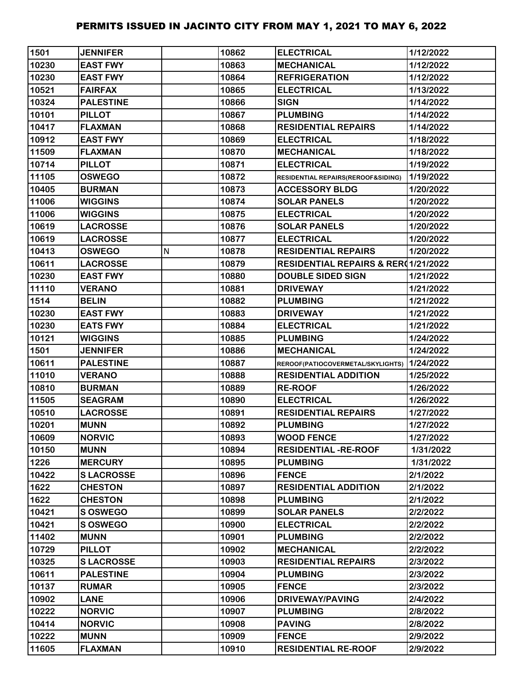| 1501  | <b>JENNIFER</b>  |   | 10862 | <b>ELECTRICAL</b>                           | 1/12/2022 |
|-------|------------------|---|-------|---------------------------------------------|-----------|
| 10230 | <b>EAST FWY</b>  |   | 10863 | <b>MECHANICAL</b>                           | 1/12/2022 |
| 10230 | <b>EAST FWY</b>  |   | 10864 | <b>REFRIGERATION</b>                        | 1/12/2022 |
| 10521 | <b>FAIRFAX</b>   |   | 10865 | <b>ELECTRICAL</b>                           | 1/13/2022 |
| 10324 | <b>PALESTINE</b> |   | 10866 | <b>SIGN</b>                                 | 1/14/2022 |
| 10101 | <b>PILLOT</b>    |   | 10867 | <b>PLUMBING</b>                             | 1/14/2022 |
| 10417 | <b>FLAXMAN</b>   |   | 10868 | <b>RESIDENTIAL REPAIRS</b>                  | 1/14/2022 |
| 10912 | <b>EAST FWY</b>  |   | 10869 | <b>ELECTRICAL</b>                           | 1/18/2022 |
| 11509 | <b>FLAXMAN</b>   |   | 10870 | <b>MECHANICAL</b>                           | 1/18/2022 |
| 10714 | <b>PILLOT</b>    |   | 10871 | <b>ELECTRICAL</b>                           | 1/19/2022 |
| 11105 | <b>OSWEGO</b>    |   | 10872 | RESIDENTIAL REPAIRS(REROOF&SIDING)          | 1/19/2022 |
| 10405 | <b>BURMAN</b>    |   | 10873 | <b>ACCESSORY BLDG</b>                       | 1/20/2022 |
| 11006 | <b>WIGGINS</b>   |   | 10874 | <b>SOLAR PANELS</b>                         | 1/20/2022 |
| 11006 | <b>WIGGINS</b>   |   | 10875 | <b>ELECTRICAL</b>                           | 1/20/2022 |
| 10619 | <b>LACROSSE</b>  |   | 10876 | <b>SOLAR PANELS</b>                         | 1/20/2022 |
| 10619 | <b>LACROSSE</b>  |   | 10877 | <b>ELECTRICAL</b>                           | 1/20/2022 |
| 10413 | <b>OSWEGO</b>    | N | 10878 | <b>RESIDENTIAL REPAIRS</b>                  | 1/20/2022 |
| 10611 | <b>LACROSSE</b>  |   | 10879 | RESIDENTIAL REPAIRS & RER(1/21/2022         |           |
| 10230 | <b>EAST FWY</b>  |   | 10880 | <b>DOUBLE SIDED SIGN</b>                    | 1/21/2022 |
| 11110 | <b>VERANO</b>    |   | 10881 | <b>DRIVEWAY</b>                             | 1/21/2022 |
| 1514  | <b>BELIN</b>     |   | 10882 | <b>PLUMBING</b>                             | 1/21/2022 |
| 10230 | <b>EAST FWY</b>  |   | 10883 | <b>DRIVEWAY</b>                             | 1/21/2022 |
| 10230 | <b>EATS FWY</b>  |   | 10884 | <b>ELECTRICAL</b>                           | 1/21/2022 |
| 10121 | <b>WIGGINS</b>   |   | 10885 | <b>PLUMBING</b>                             | 1/24/2022 |
| 1501  | <b>JENNIFER</b>  |   | 10886 | <b>MECHANICAL</b>                           | 1/24/2022 |
| 10611 | <b>PALESTINE</b> |   | 10887 | REROOF(PATIOCOVERMETAL/SKYLIGHTS) 1/24/2022 |           |
| 11010 | <b>VERANO</b>    |   | 10888 | <b>RESIDENTIAL ADDITION</b>                 | 1/25/2022 |
| 10810 | <b>BURMAN</b>    |   | 10889 | <b>RE-ROOF</b>                              | 1/26/2022 |
| 11505 | <b>SEAGRAM</b>   |   | 10890 | <b>ELECTRICAL</b>                           | 1/26/2022 |
| 10510 | <b>LACROSSE</b>  |   | 10891 | <b>RESIDENTIAL REPAIRS</b>                  | 1/27/2022 |
| 10201 | <b>MUNN</b>      |   | 10892 | <b>PLUMBING</b>                             | 1/27/2022 |
| 10609 | <b>NORVIC</b>    |   | 10893 | <b>WOOD FENCE</b>                           | 1/27/2022 |
| 10150 | <b>MUNN</b>      |   | 10894 | <b>RESIDENTIAL -RE-ROOF</b>                 | 1/31/2022 |
| 1226  | <b>MERCURY</b>   |   | 10895 | <b>PLUMBING</b>                             | 1/31/2022 |
| 10422 | <b>SLACROSSE</b> |   | 10896 | <b>FENCE</b>                                | 2/1/2022  |
| 1622  | <b>CHESTON</b>   |   | 10897 | <b>RESIDENTIAL ADDITION</b>                 | 2/1/2022  |
| 1622  | <b>CHESTON</b>   |   | 10898 | <b>PLUMBING</b>                             | 2/1/2022  |
| 10421 | <b>S OSWEGO</b>  |   | 10899 | <b>SOLAR PANELS</b>                         | 2/2/2022  |
| 10421 | S OSWEGO         |   | 10900 | <b>ELECTRICAL</b>                           | 2/2/2022  |
| 11402 | <b>MUNN</b>      |   | 10901 | <b>PLUMBING</b>                             | 2/2/2022  |
| 10729 | <b>PILLOT</b>    |   | 10902 | <b>MECHANICAL</b>                           | 2/2/2022  |
| 10325 | <b>SLACROSSE</b> |   | 10903 | <b>RESIDENTIAL REPAIRS</b>                  | 2/3/2022  |
| 10611 | <b>PALESTINE</b> |   | 10904 | <b>PLUMBING</b>                             | 2/3/2022  |
| 10137 | <b>RUMAR</b>     |   | 10905 | <b>FENCE</b>                                | 2/3/2022  |
| 10902 | <b>LANE</b>      |   | 10906 | <b>DRIVEWAY/PAVING</b>                      | 2/4/2022  |
| 10222 | <b>NORVIC</b>    |   | 10907 | <b>PLUMBING</b>                             | 2/8/2022  |
| 10414 | <b>NORVIC</b>    |   | 10908 | <b>PAVING</b>                               | 2/8/2022  |
| 10222 | <b>MUNN</b>      |   | 10909 | <b>FENCE</b>                                | 2/9/2022  |
| 11605 | <b>FLAXMAN</b>   |   | 10910 | <b>RESIDENTIAL RE-ROOF</b>                  | 2/9/2022  |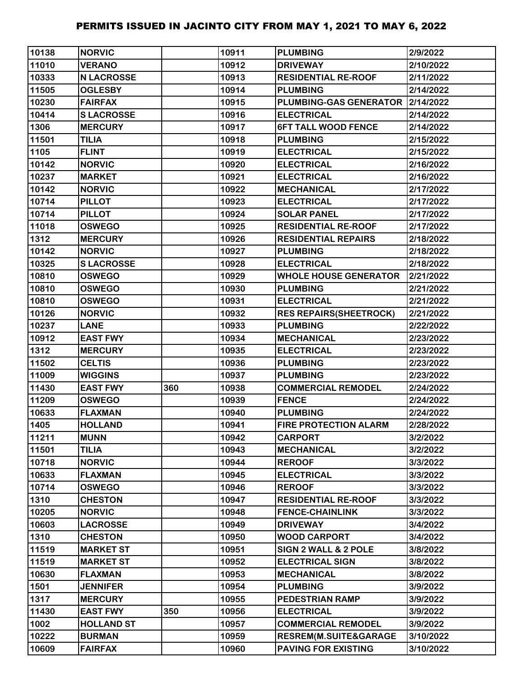| 10138 | <b>NORVIC</b>     |     | 10911 | <b>PLUMBING</b>                    | 2/9/2022  |
|-------|-------------------|-----|-------|------------------------------------|-----------|
| 11010 | <b>VERANO</b>     |     | 10912 | <b>DRIVEWAY</b>                    | 2/10/2022 |
| 10333 | <b>N LACROSSE</b> |     | 10913 | <b>RESIDENTIAL RE-ROOF</b>         | 2/11/2022 |
| 11505 | <b>OGLESBY</b>    |     | 10914 | <b>PLUMBING</b>                    | 2/14/2022 |
| 10230 | <b>FAIRFAX</b>    |     | 10915 | PLUMBING-GAS GENERATOR   2/14/2022 |           |
| 10414 | <b>SLACROSSE</b>  |     | 10916 | <b>ELECTRICAL</b>                  | 2/14/2022 |
| 1306  | <b>MERCURY</b>    |     | 10917 | <b>6FT TALL WOOD FENCE</b>         | 2/14/2022 |
| 11501 | <b>TILIA</b>      |     | 10918 | <b>PLUMBING</b>                    | 2/15/2022 |
| 1105  | <b>FLINT</b>      |     | 10919 | <b>ELECTRICAL</b>                  | 2/15/2022 |
| 10142 | <b>NORVIC</b>     |     | 10920 | <b>ELECTRICAL</b>                  | 2/16/2022 |
| 10237 | <b>MARKET</b>     |     | 10921 | <b>ELECTRICAL</b>                  | 2/16/2022 |
| 10142 | <b>NORVIC</b>     |     | 10922 | <b>MECHANICAL</b>                  | 2/17/2022 |
| 10714 | <b>PILLOT</b>     |     | 10923 | <b>ELECTRICAL</b>                  | 2/17/2022 |
| 10714 | <b>PILLOT</b>     |     | 10924 | <b>SOLAR PANEL</b>                 | 2/17/2022 |
| 11018 | <b>OSWEGO</b>     |     | 10925 | <b>RESIDENTIAL RE-ROOF</b>         | 2/17/2022 |
| 1312  | <b>MERCURY</b>    |     | 10926 | <b>RESIDENTIAL REPAIRS</b>         | 2/18/2022 |
| 10142 | <b>NORVIC</b>     |     | 10927 | <b>PLUMBING</b>                    | 2/18/2022 |
| 10325 | <b>SLACROSSE</b>  |     | 10928 | <b>ELECTRICAL</b>                  | 2/18/2022 |
| 10810 | <b>OSWEGO</b>     |     | 10929 | <b>WHOLE HOUSE GENERATOR</b>       | 2/21/2022 |
| 10810 | <b>OSWEGO</b>     |     | 10930 | <b>PLUMBING</b>                    | 2/21/2022 |
| 10810 | <b>OSWEGO</b>     |     | 10931 | <b>ELECTRICAL</b>                  | 2/21/2022 |
| 10126 | <b>NORVIC</b>     |     | 10932 | <b>RES REPAIRS(SHEETROCK)</b>      | 2/21/2022 |
| 10237 | <b>LANE</b>       |     | 10933 | <b>PLUMBING</b>                    | 2/22/2022 |
| 10912 | <b>EAST FWY</b>   |     | 10934 | <b>MECHANICAL</b>                  | 2/23/2022 |
| 1312  | <b>MERCURY</b>    |     | 10935 | <b>ELECTRICAL</b>                  | 2/23/2022 |
| 11502 | <b>CELTIS</b>     |     | 10936 | <b>PLUMBING</b>                    | 2/23/2022 |
| 11009 | <b>WIGGINS</b>    |     | 10937 | <b>PLUMBING</b>                    | 2/23/2022 |
| 11430 | <b>EAST FWY</b>   | 360 | 10938 | <b>COMMERCIAL REMODEL</b>          | 2/24/2022 |
| 11209 | <b>OSWEGO</b>     |     | 10939 | <b>FENCE</b>                       | 2/24/2022 |
| 10633 | <b>FLAXMAN</b>    |     | 10940 | <b>PLUMBING</b>                    | 2/24/2022 |
| 1405  | <b>HOLLAND</b>    |     | 10941 | <b>FIRE PROTECTION ALARM</b>       | 2/28/2022 |
| 11211 | <b>MUNN</b>       |     | 10942 | <b>CARPORT</b>                     | 3/2/2022  |
| 11501 | <b>TILIA</b>      |     | 10943 | <b>MECHANICAL</b>                  | 3/2/2022  |
| 10718 | <b>NORVIC</b>     |     | 10944 | <b>REROOF</b>                      | 3/3/2022  |
| 10633 | <b>FLAXMAN</b>    |     | 10945 | <b>ELECTRICAL</b>                  | 3/3/2022  |
| 10714 | <b>OSWEGO</b>     |     | 10946 | <b>REROOF</b>                      | 3/3/2022  |
| 1310  | <b>CHESTON</b>    |     | 10947 | <b>RESIDENTIAL RE-ROOF</b>         | 3/3/2022  |
| 10205 | <b>NORVIC</b>     |     | 10948 | <b>FENCE-CHAINLINK</b>             | 3/3/2022  |
| 10603 | <b>LACROSSE</b>   |     | 10949 | <b>DRIVEWAY</b>                    | 3/4/2022  |
| 1310  | <b>CHESTON</b>    |     | 10950 | <b>WOOD CARPORT</b>                | 3/4/2022  |
| 11519 | <b>MARKET ST</b>  |     | 10951 | SIGN 2 WALL & 2 POLE               | 3/8/2022  |
| 11519 | <b>MARKET ST</b>  |     | 10952 | <b>ELECTRICAL SIGN</b>             | 3/8/2022  |
| 10630 | <b>FLAXMAN</b>    |     | 10953 | <b>MECHANICAL</b>                  | 3/8/2022  |
| 1501  | <b>JENNIFER</b>   |     | 10954 | <b>PLUMBING</b>                    | 3/9/2022  |
| 1317  | <b>MERCURY</b>    |     | 10955 | <b>PEDESTRIAN RAMP</b>             | 3/9/2022  |
| 11430 | <b>EAST FWY</b>   | 350 | 10956 | <b>ELECTRICAL</b>                  | 3/9/2022  |
| 1002  | <b>HOLLAND ST</b> |     | 10957 | <b>COMMERCIAL REMODEL</b>          | 3/9/2022  |
| 10222 | <b>BURMAN</b>     |     | 10959 | RESREM(M.SUITE&GARAGE              | 3/10/2022 |
| 10609 | <b>FAIRFAX</b>    |     | 10960 | <b>PAVING FOR EXISTING</b>         | 3/10/2022 |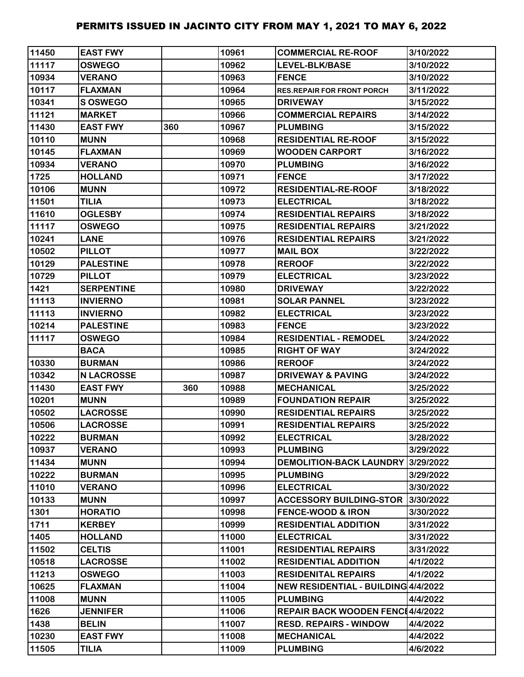| 11450 | <b>EAST FWY</b>   |     | 10961 | <b>COMMERCIAL RE-ROOF</b>           | 3/10/2022 |
|-------|-------------------|-----|-------|-------------------------------------|-----------|
| 11117 | <b>OSWEGO</b>     |     | 10962 | LEVEL-BLK/BASE                      | 3/10/2022 |
| 10934 | <b>VERANO</b>     |     | 10963 | <b>FENCE</b>                        | 3/10/2022 |
| 10117 | <b>FLAXMAN</b>    |     | 10964 | <b>RES.REPAIR FOR FRONT PORCH</b>   | 3/11/2022 |
| 10341 | S OSWEGO          |     | 10965 | <b>DRIVEWAY</b>                     | 3/15/2022 |
| 11121 | <b>MARKET</b>     |     | 10966 | <b>COMMERCIAL REPAIRS</b>           | 3/14/2022 |
| 11430 | <b>EAST FWY</b>   | 360 | 10967 | <b>PLUMBING</b>                     | 3/15/2022 |
| 10110 | <b>MUNN</b>       |     | 10968 | <b>RESIDENTIAL RE-ROOF</b>          | 3/15/2022 |
| 10145 | <b>FLAXMAN</b>    |     | 10969 | <b>WOODEN CARPORT</b>               | 3/16/2022 |
| 10934 | <b>VERANO</b>     |     | 10970 | <b>PLUMBING</b>                     | 3/16/2022 |
| 1725  | <b>HOLLAND</b>    |     | 10971 | <b>FENCE</b>                        | 3/17/2022 |
| 10106 | <b>MUNN</b>       |     | 10972 | <b>RESIDENTIAL-RE-ROOF</b>          | 3/18/2022 |
| 11501 | <b>TILIA</b>      |     | 10973 | <b>ELECTRICAL</b>                   | 3/18/2022 |
| 11610 | <b>OGLESBY</b>    |     | 10974 | <b>RESIDENTIAL REPAIRS</b>          | 3/18/2022 |
| 11117 | <b>OSWEGO</b>     |     | 10975 | <b>RESIDENTIAL REPAIRS</b>          | 3/21/2022 |
| 10241 | <b>LANE</b>       |     | 10976 | <b>RESIDENTIAL REPAIRS</b>          | 3/21/2022 |
| 10502 | <b>PILLOT</b>     |     | 10977 | <b>MAIL BOX</b>                     | 3/22/2022 |
| 10129 | <b>PALESTINE</b>  |     | 10978 | <b>REROOF</b>                       | 3/22/2022 |
| 10729 | <b>PILLOT</b>     |     | 10979 | <b>ELECTRICAL</b>                   | 3/23/2022 |
| 1421  | <b>SERPENTINE</b> |     | 10980 | <b>DRIVEWAY</b>                     | 3/22/2022 |
| 11113 | <b>INVIERNO</b>   |     | 10981 | <b>SOLAR PANNEL</b>                 | 3/23/2022 |
| 11113 | <b>INVIERNO</b>   |     | 10982 | <b>ELECTRICAL</b>                   | 3/23/2022 |
| 10214 | <b>PALESTINE</b>  |     | 10983 | <b>FENCE</b>                        | 3/23/2022 |
| 11117 | <b>OSWEGO</b>     |     | 10984 | <b>RESIDENTIAL - REMODEL</b>        | 3/24/2022 |
|       | <b>BACA</b>       |     | 10985 | <b>RIGHT OF WAY</b>                 | 3/24/2022 |
| 10330 | <b>BURMAN</b>     |     | 10986 | <b>REROOF</b>                       | 3/24/2022 |
| 10342 | <b>N LACROSSE</b> |     | 10987 | <b>DRIVEWAY &amp; PAVING</b>        | 3/24/2022 |
| 11430 | <b>EAST FWY</b>   | 360 | 10988 | <b>MECHANICAL</b>                   | 3/25/2022 |
| 10201 | <b>MUNN</b>       |     | 10989 | <b>FOUNDATION REPAIR</b>            | 3/25/2022 |
| 10502 | <b>LACROSSE</b>   |     | 10990 | <b>RESIDENTIAL REPAIRS</b>          | 3/25/2022 |
| 10506 | <b>LACROSSE</b>   |     | 10991 | <b>RESIDENTIAL REPAIRS</b>          | 3/25/2022 |
| 10222 | <b>BURMAN</b>     |     | 10992 | <b>ELECTRICAL</b>                   | 3/28/2022 |
| 10937 | <b>VERANO</b>     |     | 10993 | <b>PLUMBING</b>                     | 3/29/2022 |
| 11434 | <b>MUNN</b>       |     | 10994 | <b>DEMOLITION-BACK LAUNDRY</b>      | 3/29/2022 |
| 10222 | <b>BURMAN</b>     |     | 10995 | <b>PLUMBING</b>                     | 3/29/2022 |
| 11010 | <b>VERANO</b>     |     | 10996 | <b>ELECTRICAL</b>                   | 3/30/2022 |
| 10133 | <b>MUNN</b>       |     | 10997 | <b>ACCESSORY BUILDING-STOR</b>      | 3/30/2022 |
| 1301  | <b>HORATIO</b>    |     | 10998 | <b>FENCE-WOOD &amp; IRON</b>        | 3/30/2022 |
| 1711  | <b>KERBEY</b>     |     | 10999 | <b>RESIDENTIAL ADDITION</b>         | 3/31/2022 |
| 1405  | <b>HOLLAND</b>    |     | 11000 | <b>ELECTRICAL</b>                   | 3/31/2022 |
| 11502 | <b>CELTIS</b>     |     | 11001 | <b>RESIDENTIAL REPAIRS</b>          | 3/31/2022 |
| 10518 | <b>LACROSSE</b>   |     | 11002 | <b>RESIDENTIAL ADDITION</b>         | 4/1/2022  |
| 11213 | <b>OSWEGO</b>     |     | 11003 | <b>RESIDENITAL REPAIRS</b>          | 4/1/2022  |
| 10625 | <b>FLAXMAN</b>    |     | 11004 | NEW RESIDENTIAL - BUILDING 4/4/2022 |           |
| 11008 | <b>MUNN</b>       |     | 11005 | <b>PLUMBING</b>                     | 4/4/2022  |
| 1626  | <b>JENNIFER</b>   |     | 11006 | REPAIR BACK WOODEN FENC14/4/2022    |           |
| 1438  | <b>BELIN</b>      |     | 11007 | <b>RESD. REPAIRS - WINDOW</b>       | 4/4/2022  |
| 10230 | <b>EAST FWY</b>   |     | 11008 | <b>MECHANICAL</b>                   | 4/4/2022  |
| 11505 | <b>TILIA</b>      |     | 11009 | <b>PLUMBING</b>                     | 4/6/2022  |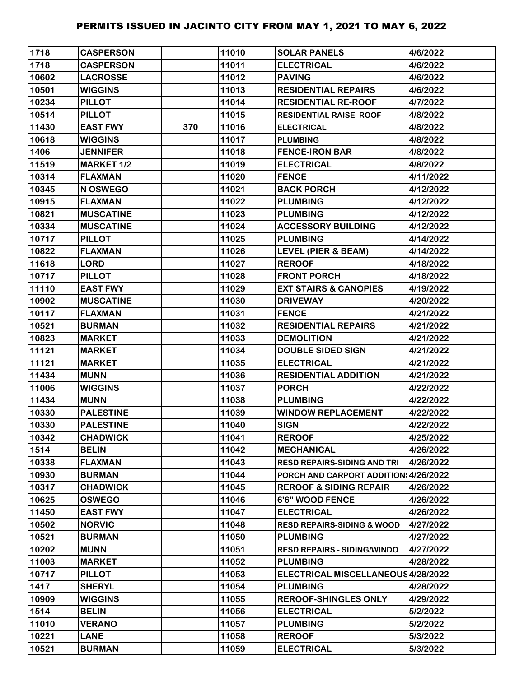| 1718  | <b>CASPERSON</b>  |     | 11010 | <b>SOLAR PANELS</b>                   | 4/6/2022  |
|-------|-------------------|-----|-------|---------------------------------------|-----------|
| 1718  | <b>CASPERSON</b>  |     | 11011 | <b>ELECTRICAL</b>                     | 4/6/2022  |
| 10602 | <b>LACROSSE</b>   |     | 11012 | <b>PAVING</b>                         | 4/6/2022  |
| 10501 | <b>WIGGINS</b>    |     | 11013 | <b>RESIDENTIAL REPAIRS</b>            | 4/6/2022  |
| 10234 | <b>PILLOT</b>     |     | 11014 | <b>RESIDENTIAL RE-ROOF</b>            | 4/7/2022  |
| 10514 | <b>PILLOT</b>     |     | 11015 | <b>RESIDENTIAL RAISE ROOF</b>         | 4/8/2022  |
| 11430 | <b>EAST FWY</b>   | 370 | 11016 | <b>ELECTRICAL</b>                     | 4/8/2022  |
| 10618 | <b>WIGGINS</b>    |     | 11017 | <b>PLUMBING</b>                       | 4/8/2022  |
| 1406  | <b>JENNIFER</b>   |     | 11018 | <b>FENCE-IRON BAR</b>                 | 4/8/2022  |
| 11519 | <b>MARKET 1/2</b> |     | 11019 | <b>ELECTRICAL</b>                     | 4/8/2022  |
| 10314 | <b>FLAXMAN</b>    |     | 11020 | <b>FENCE</b>                          | 4/11/2022 |
| 10345 | N OSWEGO          |     | 11021 | <b>BACK PORCH</b>                     | 4/12/2022 |
| 10915 | <b>FLAXMAN</b>    |     | 11022 | <b>PLUMBING</b>                       | 4/12/2022 |
| 10821 | <b>MUSCATINE</b>  |     | 11023 | <b>PLUMBING</b>                       | 4/12/2022 |
| 10334 | <b>MUSCATINE</b>  |     | 11024 | <b>ACCESSORY BUILDING</b>             | 4/12/2022 |
| 10717 | <b>PILLOT</b>     |     | 11025 | <b>PLUMBING</b>                       | 4/14/2022 |
| 10822 | <b>FLAXMAN</b>    |     | 11026 | <b>LEVEL (PIER &amp; BEAM)</b>        | 4/14/2022 |
| 11618 | <b>LORD</b>       |     | 11027 | <b>REROOF</b>                         | 4/18/2022 |
| 10717 | <b>PILLOT</b>     |     | 11028 | <b>FRONT PORCH</b>                    | 4/18/2022 |
| 11110 | <b>EAST FWY</b>   |     | 11029 | <b>EXT STAIRS &amp; CANOPIES</b>      | 4/19/2022 |
| 10902 | <b>MUSCATINE</b>  |     | 11030 | <b>DRIVEWAY</b>                       | 4/20/2022 |
| 10117 | <b>FLAXMAN</b>    |     | 11031 | <b>FENCE</b>                          | 4/21/2022 |
| 10521 | <b>BURMAN</b>     |     | 11032 | <b>RESIDENTIAL REPAIRS</b>            | 4/21/2022 |
| 10823 | <b>MARKET</b>     |     | 11033 | <b>DEMOLITION</b>                     | 4/21/2022 |
| 11121 | <b>MARKET</b>     |     | 11034 | <b>DOUBLE SIDED SIGN</b>              | 4/21/2022 |
| 11121 | <b>MARKET</b>     |     | 11035 | <b>ELECTRICAL</b>                     | 4/21/2022 |
| 11434 | <b>MUNN</b>       |     | 11036 | <b>RESIDENTIAL ADDITION</b>           | 4/21/2022 |
| 11006 | <b>WIGGINS</b>    |     | 11037 | <b>PORCH</b>                          | 4/22/2022 |
| 11434 | <b>MUNN</b>       |     | 11038 | <b>PLUMBING</b>                       | 4/22/2022 |
| 10330 | <b>PALESTINE</b>  |     | 11039 | <b>WINDOW REPLACEMENT</b>             | 4/22/2022 |
| 10330 | <b>PALESTINE</b>  |     | 11040 | <b>SIGN</b>                           | 4/22/2022 |
| 10342 | <b>CHADWICK</b>   |     | 11041 | <b>REROOF</b>                         | 4/25/2022 |
| 1514  | <b>BELIN</b>      |     | 11042 | <b>MECHANICAL</b>                     | 4/26/2022 |
| 10338 | <b>FLAXMAN</b>    |     | 11043 | <b>RESD REPAIRS-SIDING AND TRI</b>    | 4/26/2022 |
| 10930 | <b>BURMAN</b>     |     | 11044 | PORCH AND CARPORT ADDITION 4/26/2022  |           |
| 10317 | <b>CHADWICK</b>   |     | 11045 | <b>REROOF &amp; SIDING REPAIR</b>     | 4/26/2022 |
| 10625 | <b>OSWEGO</b>     |     | 11046 | 6'6" WOOD FENCE                       | 4/26/2022 |
| 11450 | <b>EAST FWY</b>   |     | 11047 | <b>ELECTRICAL</b>                     | 4/26/2022 |
| 10502 | <b>NORVIC</b>     |     | 11048 | <b>RESD REPAIRS-SIDING &amp; WOOD</b> | 4/27/2022 |
| 10521 | <b>BURMAN</b>     |     | 11050 | <b>PLUMBING</b>                       | 4/27/2022 |
| 10202 | <b>MUNN</b>       |     | 11051 | <b>RESD REPAIRS - SIDING/WINDO</b>    | 4/27/2022 |
| 11003 | <b>MARKET</b>     |     | 11052 | <b>PLUMBING</b>                       | 4/28/2022 |
| 10717 | <b>PILLOT</b>     |     | 11053 | ELECTRICAL MISCELLANEOUS4/28/2022     |           |
| 1417  | <b>SHERYL</b>     |     | 11054 | <b>PLUMBING</b>                       | 4/28/2022 |
| 10909 | <b>WIGGINS</b>    |     | 11055 | <b>REROOF-SHINGLES ONLY</b>           | 4/29/2022 |
| 1514  | <b>BELIN</b>      |     | 11056 | <b>ELECTRICAL</b>                     | 5/2/2022  |
| 11010 | <b>VERANO</b>     |     | 11057 | <b>PLUMBING</b>                       | 5/2/2022  |
| 10221 | <b>LANE</b>       |     | 11058 | <b>REROOF</b>                         | 5/3/2022  |
| 10521 | <b>BURMAN</b>     |     | 11059 | <b>ELECTRICAL</b>                     | 5/3/2022  |